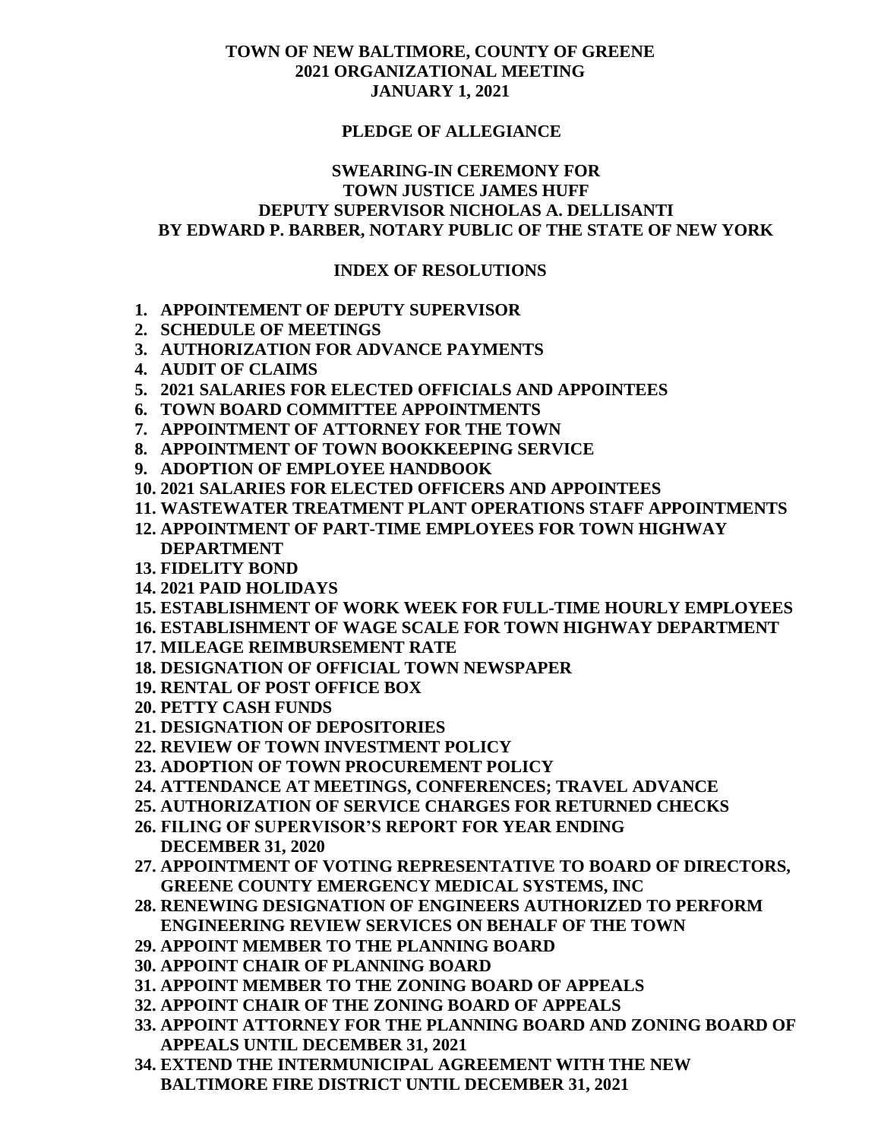#### **PLEDGE OF ALLEGIANCE**

### **SWEARING-IN CEREMONY FOR TOWN JUSTICE JAMES HUFF DEPUTY SUPERVISOR NICHOLAS A. DELLISANTI BY EDWARD P. BARBER, NOTARY PUBLIC OF THE STATE OF NEW YORK**

#### **INDEX OF RESOLUTIONS**

- **1. APPOINTEMENT OF DEPUTY SUPERVISOR**
- **2. SCHEDULE OF MEETINGS**
- **3. AUTHORIZATION FOR ADVANCE PAYMENTS**
- **4. AUDIT OF CLAIMS**
- **5. 2021 SALARIES FOR ELECTED OFFICIALS AND APPOINTEES**
- **6. TOWN BOARD COMMITTEE APPOINTMENTS**
- **7. APPOINTMENT OF ATTORNEY FOR THE TOWN**
- **8. APPOINTMENT OF TOWN BOOKKEEPING SERVICE**
- **9. ADOPTION OF EMPLOYEE HANDBOOK**
- **10. 2021 SALARIES FOR ELECTED OFFICERS AND APPOINTEES**
- **11. WASTEWATER TREATMENT PLANT OPERATIONS STAFF APPOINTMENTS**
- **12. APPOINTMENT OF PART-TIME EMPLOYEES FOR TOWN HIGHWAY DEPARTMENT**
- **13. FIDELITY BOND**
- **14. 2021 PAID HOLIDAYS**
- **15. ESTABLISHMENT OF WORK WEEK FOR FULL-TIME HOURLY EMPLOYEES**
- **16. ESTABLISHMENT OF WAGE SCALE FOR TOWN HIGHWAY DEPARTMENT**
- **17. MILEAGE REIMBURSEMENT RATE**
- **18. DESIGNATION OF OFFICIAL TOWN NEWSPAPER**
- **19. RENTAL OF POST OFFICE BOX**
- **20. PETTY CASH FUNDS**
- **21. DESIGNATION OF DEPOSITORIES**
- **22. REVIEW OF TOWN INVESTMENT POLICY**
- **23. ADOPTION OF TOWN PROCUREMENT POLICY**
- **24. ATTENDANCE AT MEETINGS, CONFERENCES; TRAVEL ADVANCE**
- **25. AUTHORIZATION OF SERVICE CHARGES FOR RETURNED CHECKS**
- **26. FILING OF SUPERVISOR'S REPORT FOR YEAR ENDING**
- **DECEMBER 31, 2020**
- **27. APPOINTMENT OF VOTING REPRESENTATIVE TO BOARD OF DIRECTORS, GREENE COUNTY EMERGENCY MEDICAL SYSTEMS, INC**
- **28. RENEWING DESIGNATION OF ENGINEERS AUTHORIZED TO PERFORM ENGINEERING REVIEW SERVICES ON BEHALF OF THE TOWN**
- **29. APPOINT MEMBER TO THE PLANNING BOARD**
- **30. APPOINT CHAIR OF PLANNING BOARD**
- **31. APPOINT MEMBER TO THE ZONING BOARD OF APPEALS**
- **32. APPOINT CHAIR OF THE ZONING BOARD OF APPEALS**
- **33. APPOINT ATTORNEY FOR THE PLANNING BOARD AND ZONING BOARD OF APPEALS UNTIL DECEMBER 31, 2021**
- **34. EXTEND THE INTERMUNICIPAL AGREEMENT WITH THE NEW BALTIMORE FIRE DISTRICT UNTIL DECEMBER 31, 2021**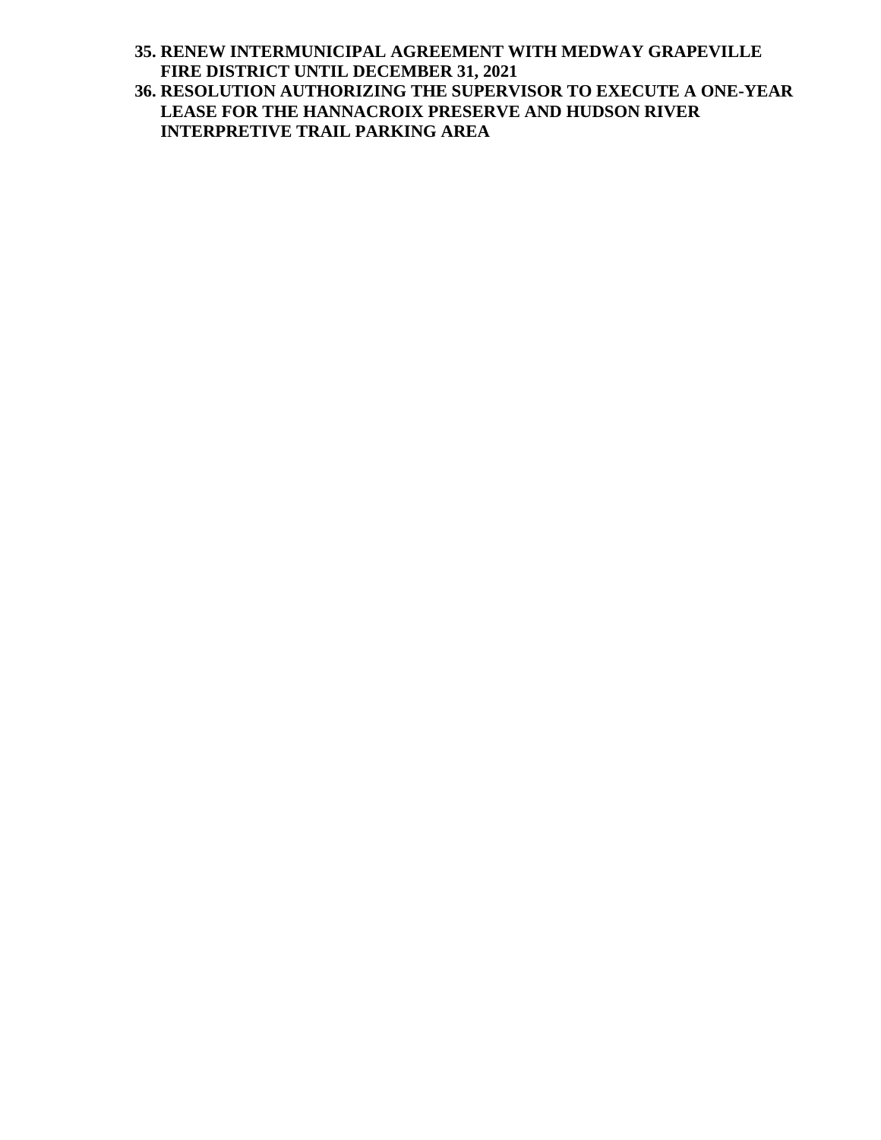**35. RENEW INTERMUNICIPAL AGREEMENT WITH MEDWAY GRAPEVILLE FIRE DISTRICT UNTIL DECEMBER 31, 2021**

**36. RESOLUTION AUTHORIZING THE SUPERVISOR TO EXECUTE A ONE-YEAR LEASE FOR THE HANNACROIX PRESERVE AND HUDSON RIVER INTERPRETIVE TRAIL PARKING AREA**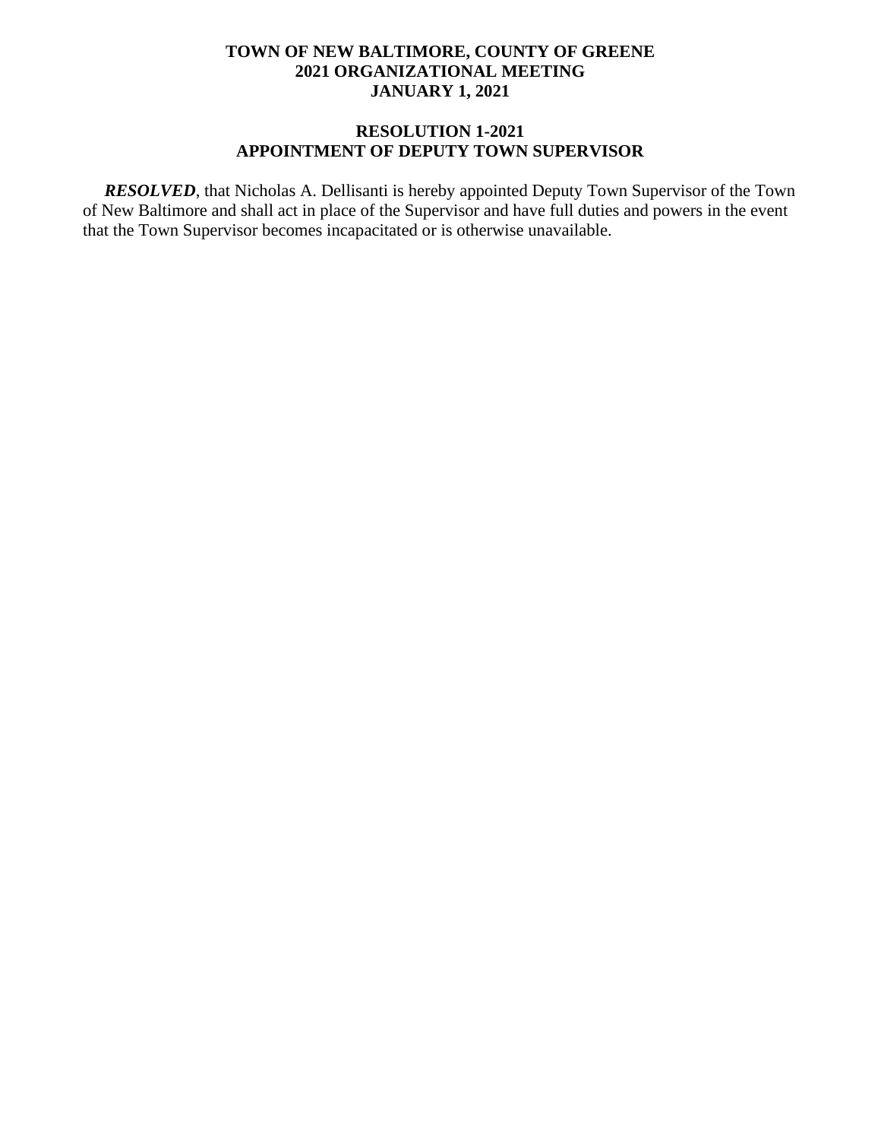#### **RESOLUTION 1-2021 APPOINTMENT OF DEPUTY TOWN SUPERVISOR**

 *RESOLVED*, that Nicholas A. Dellisanti is hereby appointed Deputy Town Supervisor of the Town of New Baltimore and shall act in place of the Supervisor and have full duties and powers in the event that the Town Supervisor becomes incapacitated or is otherwise unavailable.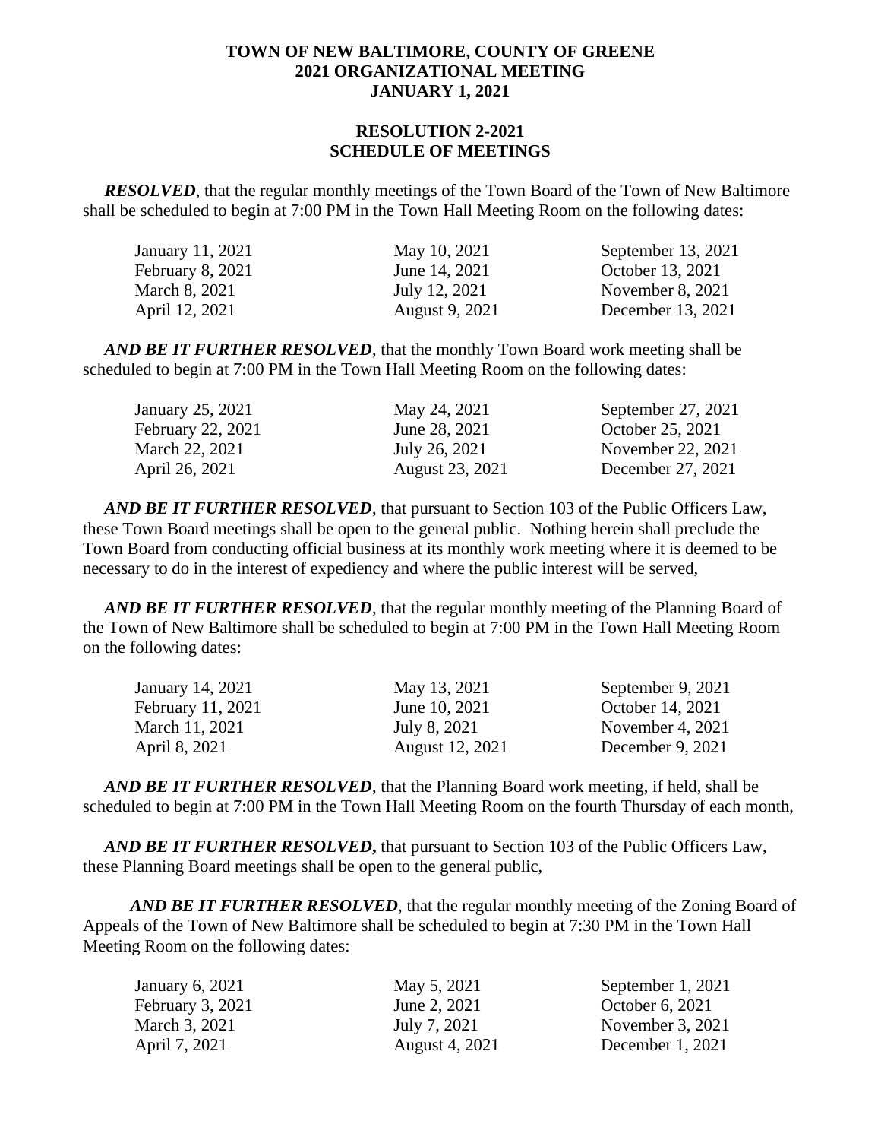### **RESOLUTION 2-2021 SCHEDULE OF MEETINGS**

*RESOLVED*, that the regular monthly meetings of the Town Board of the Town of New Baltimore shall be scheduled to begin at 7:00 PM in the Town Hall Meeting Room on the following dates:

| January 11, 2021        | May 10, 2021   | September $13, 2021$ |
|-------------------------|----------------|----------------------|
| <b>February 8, 2021</b> | June 14, 2021  | October 13, 2021     |
| March 8, 2021           | July 12, 2021  | November 8, 2021     |
| April 12, 2021          | August 9, 2021 | December 13, 2021    |

*AND BE IT FURTHER RESOLVED*, that the monthly Town Board work meeting shall be scheduled to begin at 7:00 PM in the Town Hall Meeting Room on the following dates:

| January 25, 2021  | May 24, 2021    | September 27, 2021 |
|-------------------|-----------------|--------------------|
| February 22, 2021 | June 28, 2021   | October 25, 2021   |
| March 22, 2021    | July 26, 2021   | November 22, 2021  |
| April 26, 2021    | August 23, 2021 | December 27, 2021  |

*AND BE IT FURTHER RESOLVED*, that pursuant to Section 103 of the Public Officers Law, these Town Board meetings shall be open to the general public. Nothing herein shall preclude the Town Board from conducting official business at its monthly work meeting where it is deemed to be necessary to do in the interest of expediency and where the public interest will be served,

*AND BE IT FURTHER RESOLVED*, that the regular monthly meeting of the Planning Board of the Town of New Baltimore shall be scheduled to begin at 7:00 PM in the Town Hall Meeting Room on the following dates:

| January 14, 2021  | May 13, 2021           | September 9, 2021  |
|-------------------|------------------------|--------------------|
| February 11, 2021 | June 10, 2021          | October 14, 2021   |
| March 11, 2021    | July 8, 2021           | November 4, $2021$ |
| April 8, 2021     | <b>August</b> 12, 2021 | December 9, 2021   |

 *AND BE IT FURTHER RESOLVED*, that the Planning Board work meeting, if held, shall be scheduled to begin at 7:00 PM in the Town Hall Meeting Room on the fourth Thursday of each month,

*AND BE IT FURTHER RESOLVED***,** that pursuant to Section 103 of the Public Officers Law, these Planning Board meetings shall be open to the general public,

*AND BE IT FURTHER RESOLVED*, that the regular monthly meeting of the Zoning Board of Appeals of the Town of New Baltimore shall be scheduled to begin at 7:30 PM in the Town Hall Meeting Room on the following dates:

| January 6, 2021  | May 5, 2021           | September 1, 2021  |
|------------------|-----------------------|--------------------|
| February 3, 2021 | June 2, 2021          | October 6, 2021    |
| March 3, 2021    | July 7, 2021          | November 3, 2021   |
| April 7, 2021    | <b>August 4, 2021</b> | December $1, 2021$ |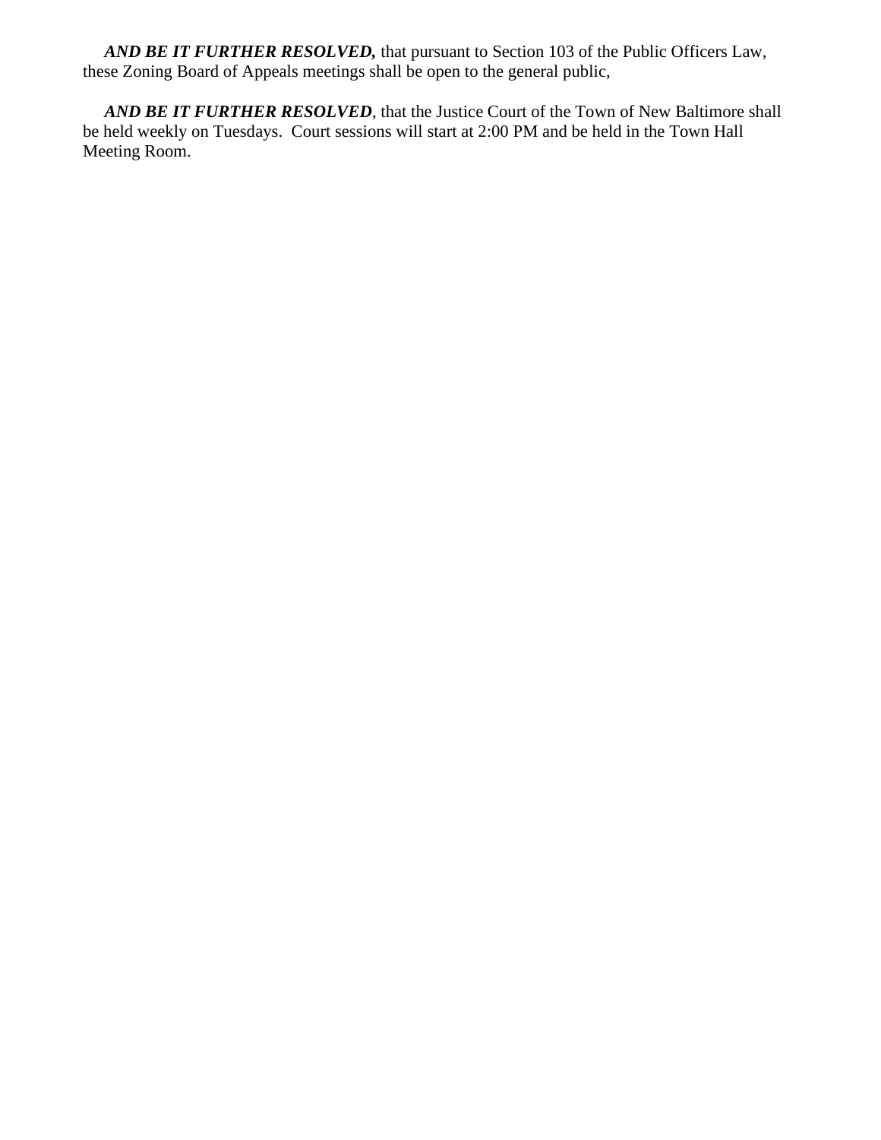*AND BE IT FURTHER RESOLVED,* that pursuant to Section 103 of the Public Officers Law, these Zoning Board of Appeals meetings shall be open to the general public,

*AND BE IT FURTHER RESOLVED*, that the Justice Court of the Town of New Baltimore shall be held weekly on Tuesdays. Court sessions will start at 2:00 PM and be held in the Town Hall Meeting Room.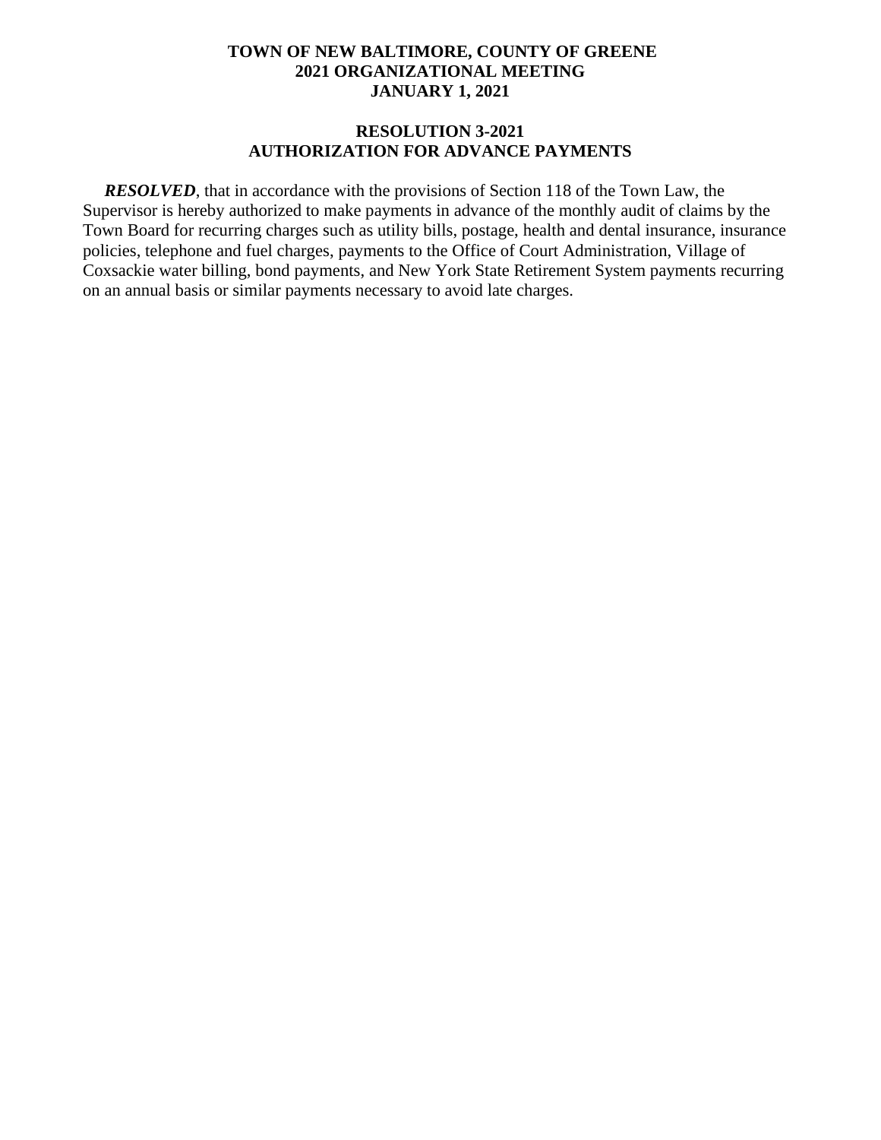#### **RESOLUTION 3-2021 AUTHORIZATION FOR ADVANCE PAYMENTS**

*RESOLVED*, that in accordance with the provisions of Section 118 of the Town Law, the Supervisor is hereby authorized to make payments in advance of the monthly audit of claims by the Town Board for recurring charges such as utility bills, postage, health and dental insurance, insurance policies, telephone and fuel charges, payments to the Office of Court Administration, Village of Coxsackie water billing, bond payments, and New York State Retirement System payments recurring on an annual basis or similar payments necessary to avoid late charges.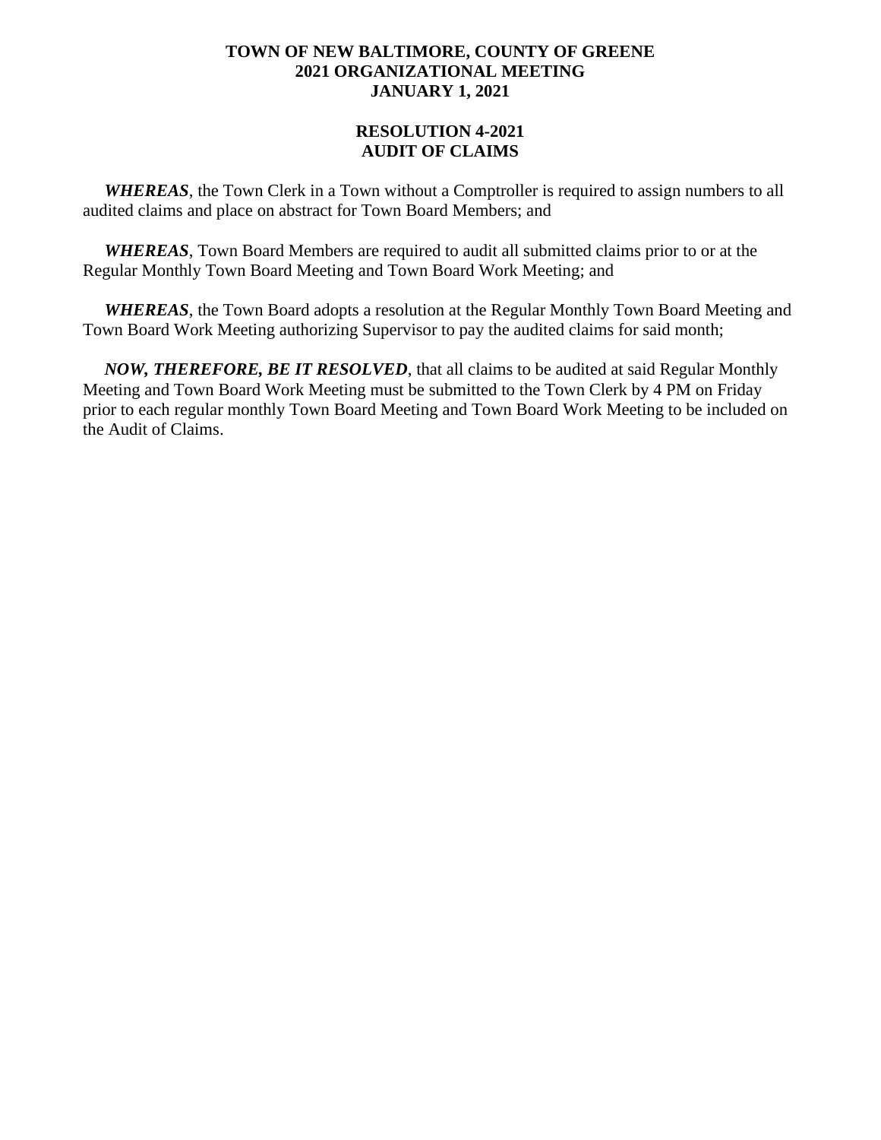# **RESOLUTION 4-2021 AUDIT OF CLAIMS**

 *WHEREAS*, the Town Clerk in a Town without a Comptroller is required to assign numbers to all audited claims and place on abstract for Town Board Members; and

 *WHEREAS*, Town Board Members are required to audit all submitted claims prior to or at the Regular Monthly Town Board Meeting and Town Board Work Meeting; and

 *WHEREAS*, the Town Board adopts a resolution at the Regular Monthly Town Board Meeting and Town Board Work Meeting authorizing Supervisor to pay the audited claims for said month;

 *NOW, THEREFORE, BE IT RESOLVED*, that all claims to be audited at said Regular Monthly Meeting and Town Board Work Meeting must be submitted to the Town Clerk by 4 PM on Friday prior to each regular monthly Town Board Meeting and Town Board Work Meeting to be included on the Audit of Claims.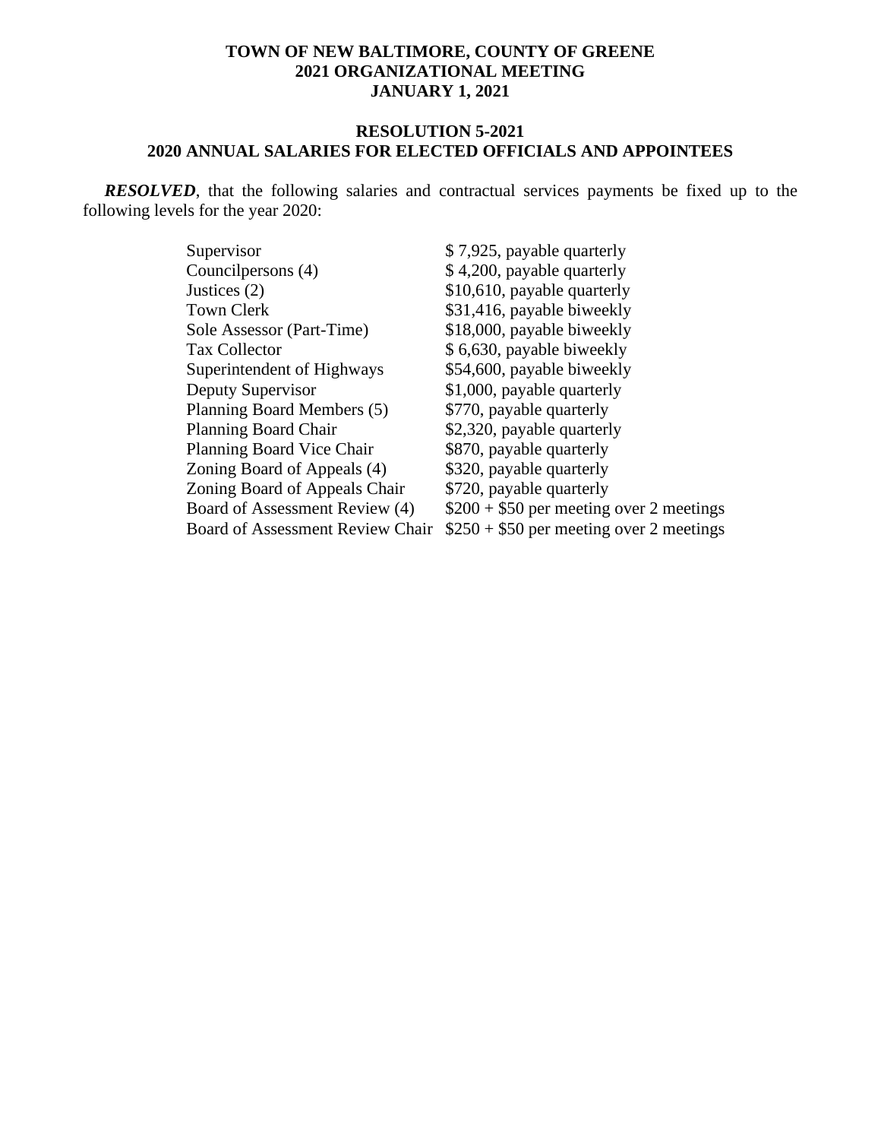#### **RESOLUTION 5-2021 2020 ANNUAL SALARIES FOR ELECTED OFFICIALS AND APPOINTEES**

 *RESOLVED*, that the following salaries and contractual services payments be fixed up to the following levels for the year 2020:

| Supervisor                              | \$7,925, payable quarterly               |
|-----------------------------------------|------------------------------------------|
| Councilpersons (4)                      | \$4,200, payable quarterly               |
| Justices $(2)$                          | \$10,610, payable quarterly              |
| <b>Town Clerk</b>                       | \$31,416, payable biweekly               |
| Sole Assessor (Part-Time)               | \$18,000, payable biweekly               |
| <b>Tax Collector</b>                    | \$6,630, payable biweekly                |
| Superintendent of Highways              | \$54,600, payable biweekly               |
| Deputy Supervisor                       | \$1,000, payable quarterly               |
| Planning Board Members (5)              | \$770, payable quarterly                 |
| <b>Planning Board Chair</b>             | \$2,320, payable quarterly               |
| Planning Board Vice Chair               | \$870, payable quarterly                 |
| Zoning Board of Appeals (4)             | \$320, payable quarterly                 |
| Zoning Board of Appeals Chair           | \$720, payable quarterly                 |
| Board of Assessment Review (4)          | $$200 + $50$ per meeting over 2 meetings |
| <b>Board of Assessment Review Chair</b> | $$250 + $50$ per meeting over 2 meetings |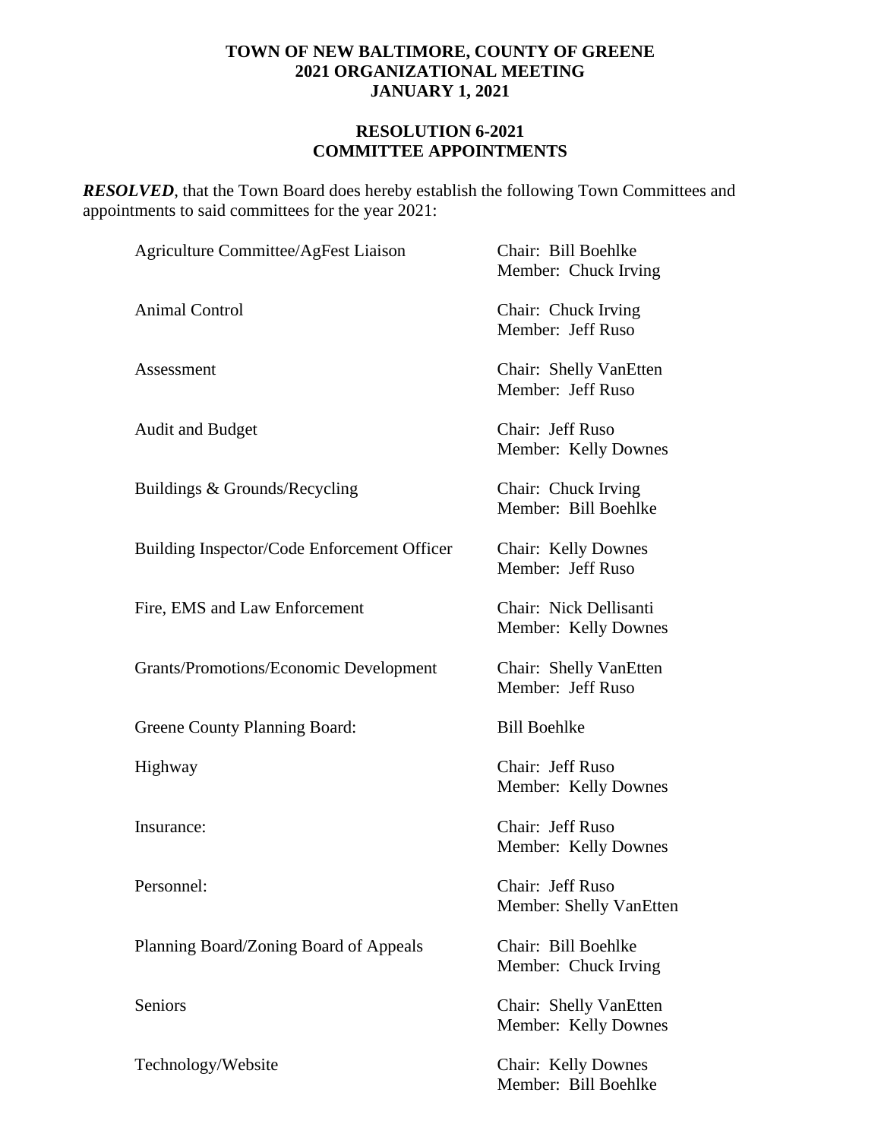### **RESOLUTION 6-2021 COMMITTEE APPOINTMENTS**

**RESOLVED**, that the Town Board does hereby establish the following Town Committees and appointments to said committees for the year 2021:

| Agriculture Committee/AgFest Liaison          | Chair: Bill Boehlke<br>Member: Chuck Irving    |
|-----------------------------------------------|------------------------------------------------|
| <b>Animal Control</b>                         | Chair: Chuck Irving<br>Member: Jeff Ruso       |
| Assessment                                    | Chair: Shelly VanEtten<br>Member: Jeff Ruso    |
| <b>Audit and Budget</b>                       | Chair: Jeff Ruso<br>Member: Kelly Downes       |
| Buildings & Grounds/Recycling                 | Chair: Chuck Irving<br>Member: Bill Boehlke    |
| Building Inspector/Code Enforcement Officer   | Chair: Kelly Downes<br>Member: Jeff Ruso       |
| Fire, EMS and Law Enforcement                 | Chair: Nick Dellisanti<br>Member: Kelly Downes |
| <b>Grants/Promotions/Economic Development</b> | Chair: Shelly VanEtten<br>Member: Jeff Ruso    |
| Greene County Planning Board:                 | <b>Bill Boehlke</b>                            |
| Highway                                       | Chair: Jeff Ruso<br>Member: Kelly Downes       |
| Insurance:                                    | Chair: Jeff Ruso<br>Member: Kelly Downes       |
| Personnel:                                    | Chair: Jeff Ruso<br>Member: Shelly VanEtten    |
| Planning Board/Zoning Board of Appeals        | Chair: Bill Boehlke<br>Member: Chuck Irving    |
| Seniors                                       | Chair: Shelly VanEtten<br>Member: Kelly Downes |
| Technology/Website                            | Chair: Kelly Downes<br>Member: Bill Boehlke    |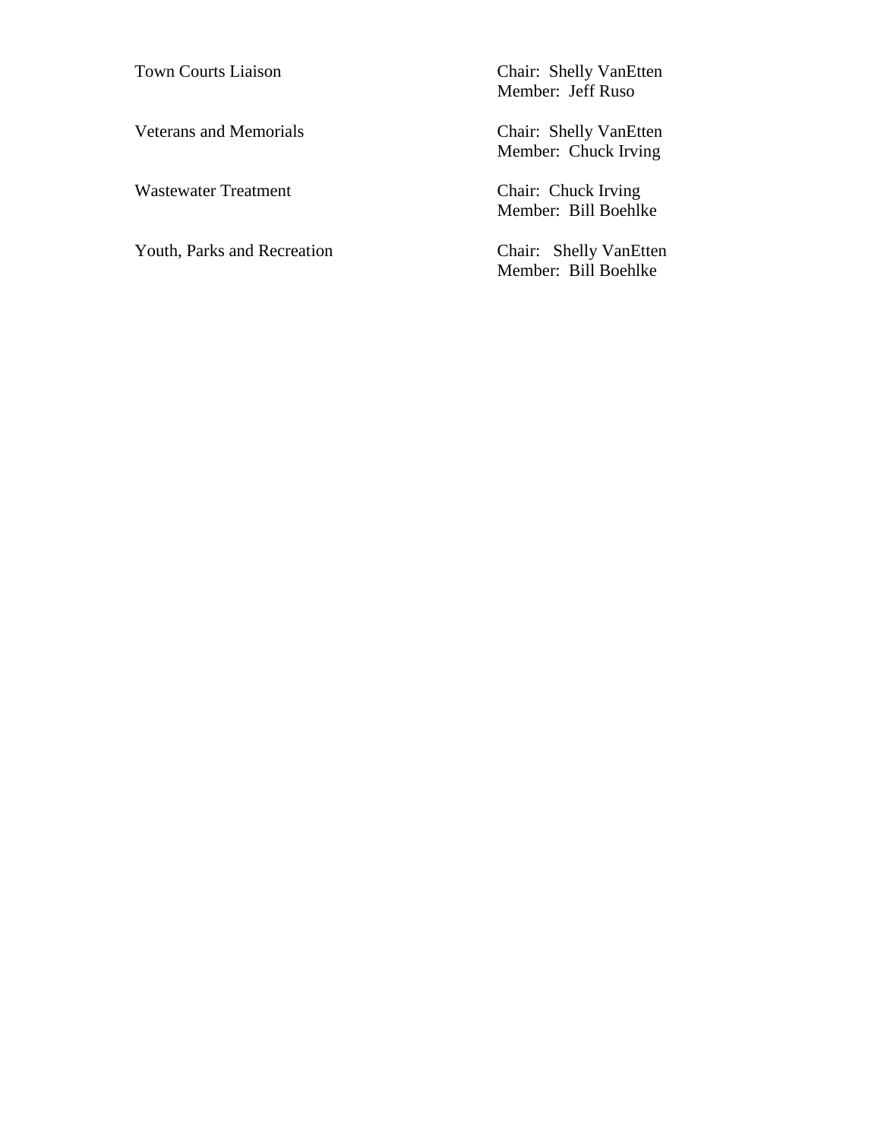Wastewater Treatment Chair: Chuck Irving

Youth, Parks and Recreation Chair: Shelly VanEtten

Town Courts Liaison<br>
Chair: Shelly VanEtten Member: Jeff Ruso

Veterans and Memorials Chair: Shelly VanEtten Member: Chuck Irving

Member: Bill Boehlke

Member: Bill Boehlke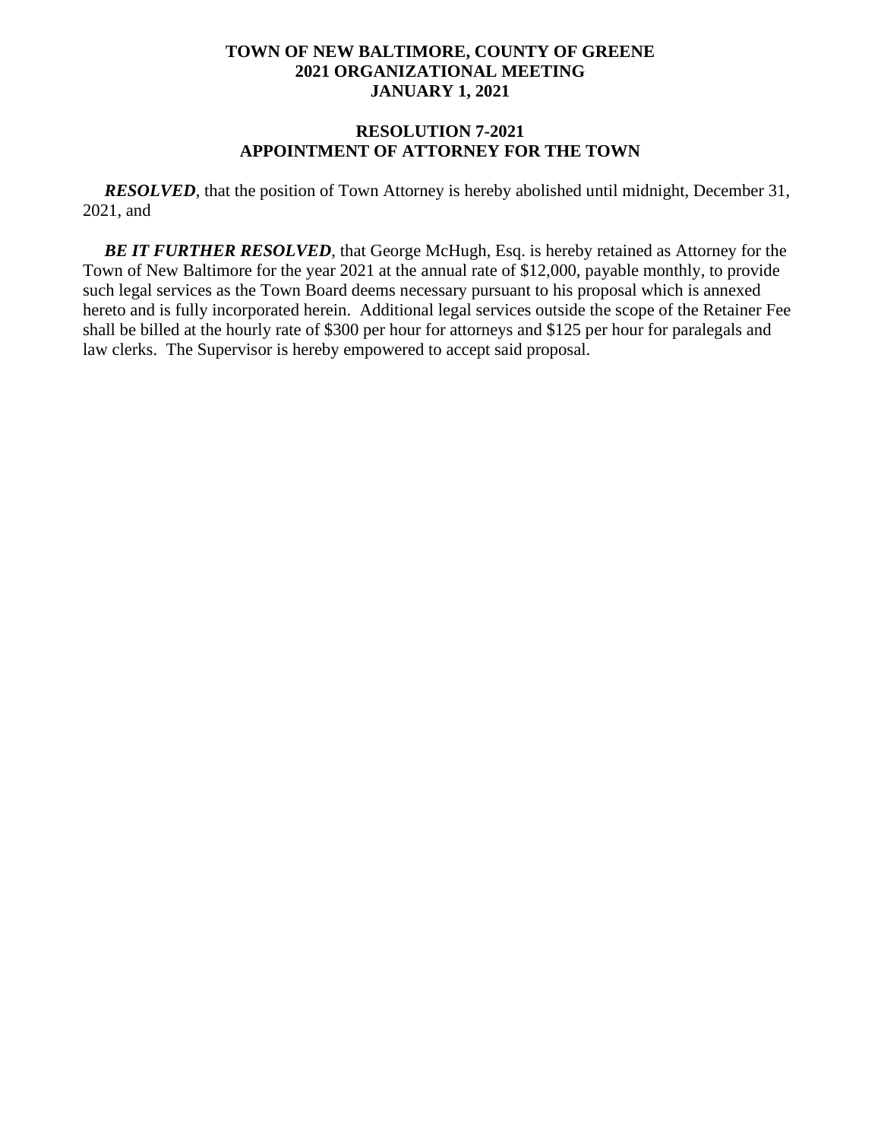#### **RESOLUTION 7-2021 APPOINTMENT OF ATTORNEY FOR THE TOWN**

*RESOLVED*, that the position of Town Attorney is hereby abolished until midnight, December 31, 2021, and

*BE IT FURTHER RESOLVED*, that George McHugh, Esq. is hereby retained as Attorney for the Town of New Baltimore for the year 2021 at the annual rate of \$12,000, payable monthly, to provide such legal services as the Town Board deems necessary pursuant to his proposal which is annexed hereto and is fully incorporated herein. Additional legal services outside the scope of the Retainer Fee shall be billed at the hourly rate of \$300 per hour for attorneys and \$125 per hour for paralegals and law clerks. The Supervisor is hereby empowered to accept said proposal.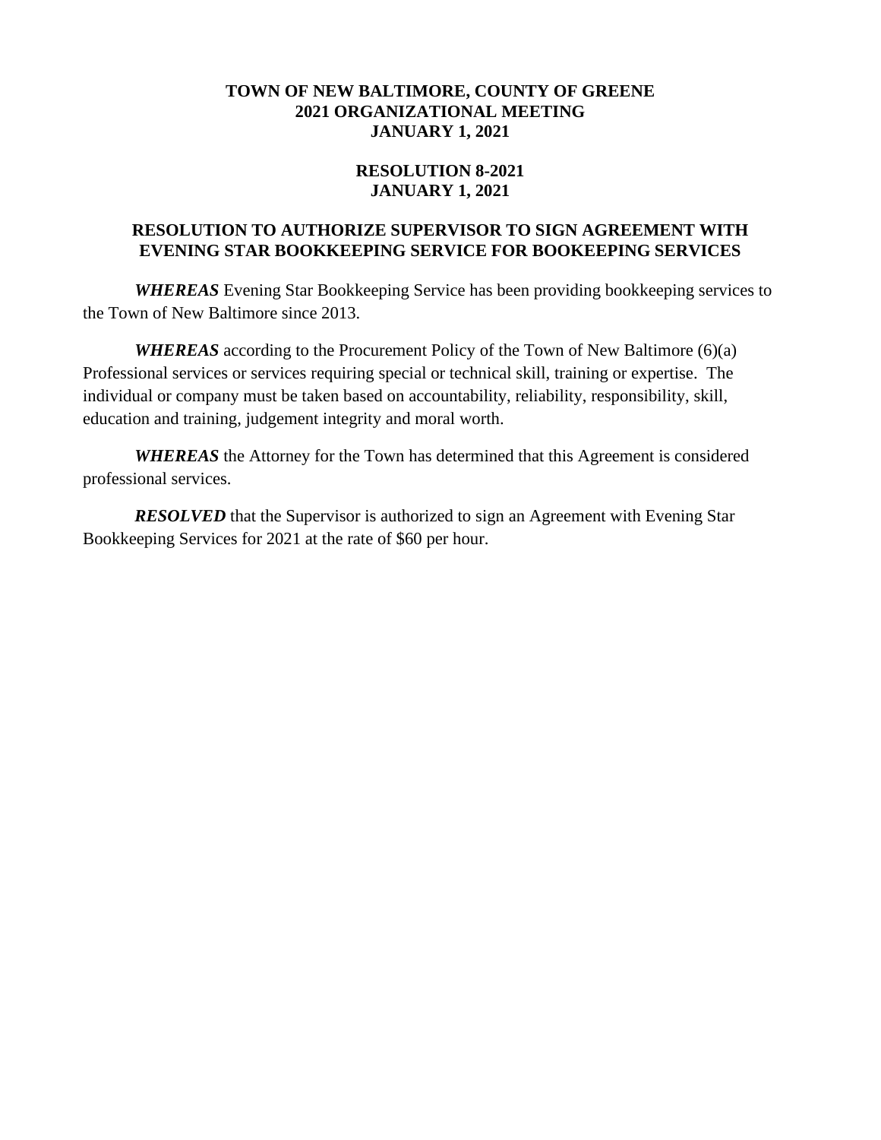# **RESOLUTION 8-2021 JANUARY 1, 2021**

### **RESOLUTION TO AUTHORIZE SUPERVISOR TO SIGN AGREEMENT WITH EVENING STAR BOOKKEEPING SERVICE FOR BOOKEEPING SERVICES**

*WHEREAS* Evening Star Bookkeeping Service has been providing bookkeeping services to the Town of New Baltimore since 2013.

*WHEREAS* according to the Procurement Policy of the Town of New Baltimore (6)(a) Professional services or services requiring special or technical skill, training or expertise. The individual or company must be taken based on accountability, reliability, responsibility, skill, education and training, judgement integrity and moral worth.

*WHEREAS* the Attorney for the Town has determined that this Agreement is considered professional services.

*RESOLVED* that the Supervisor is authorized to sign an Agreement with Evening Star Bookkeeping Services for 2021 at the rate of \$60 per hour.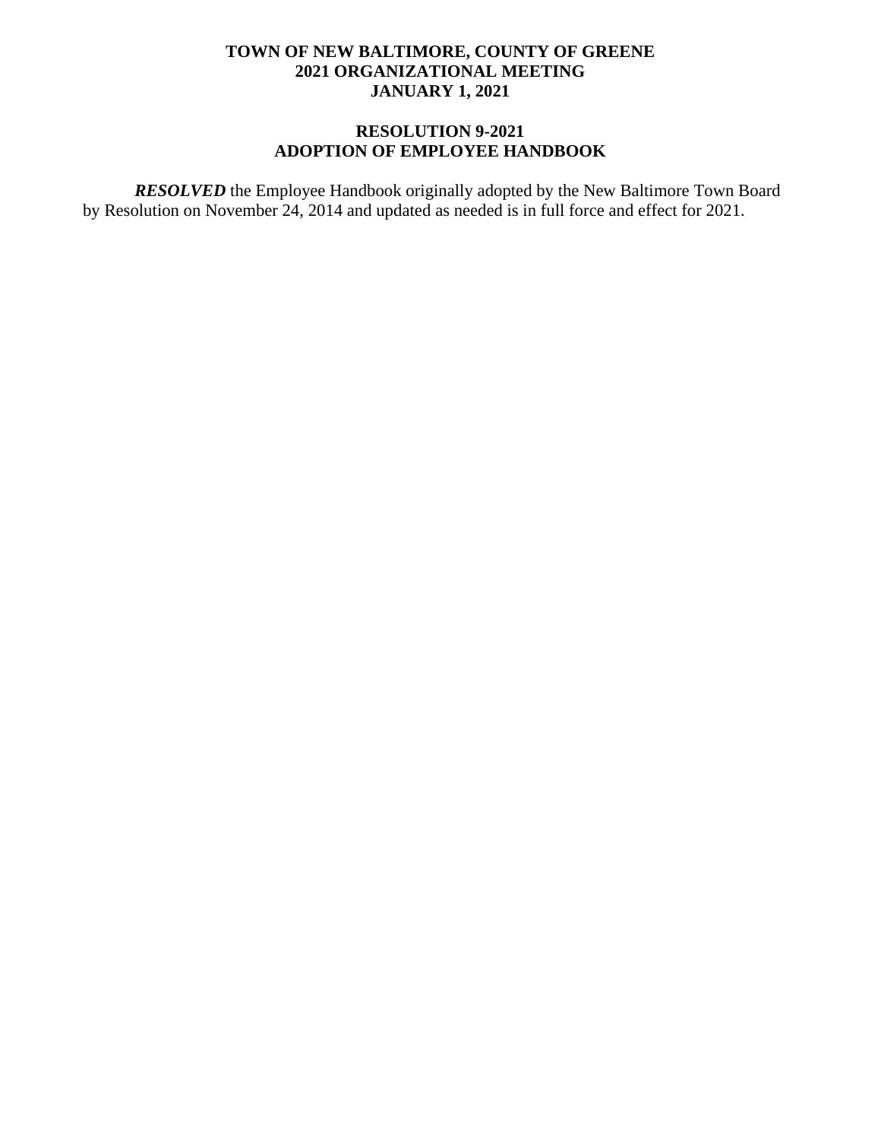# **RESOLUTION 9-2021 ADOPTION OF EMPLOYEE HANDBOOK**

*RESOLVED* the Employee Handbook originally adopted by the New Baltimore Town Board by Resolution on November 24, 2014 and updated as needed is in full force and effect for 2021.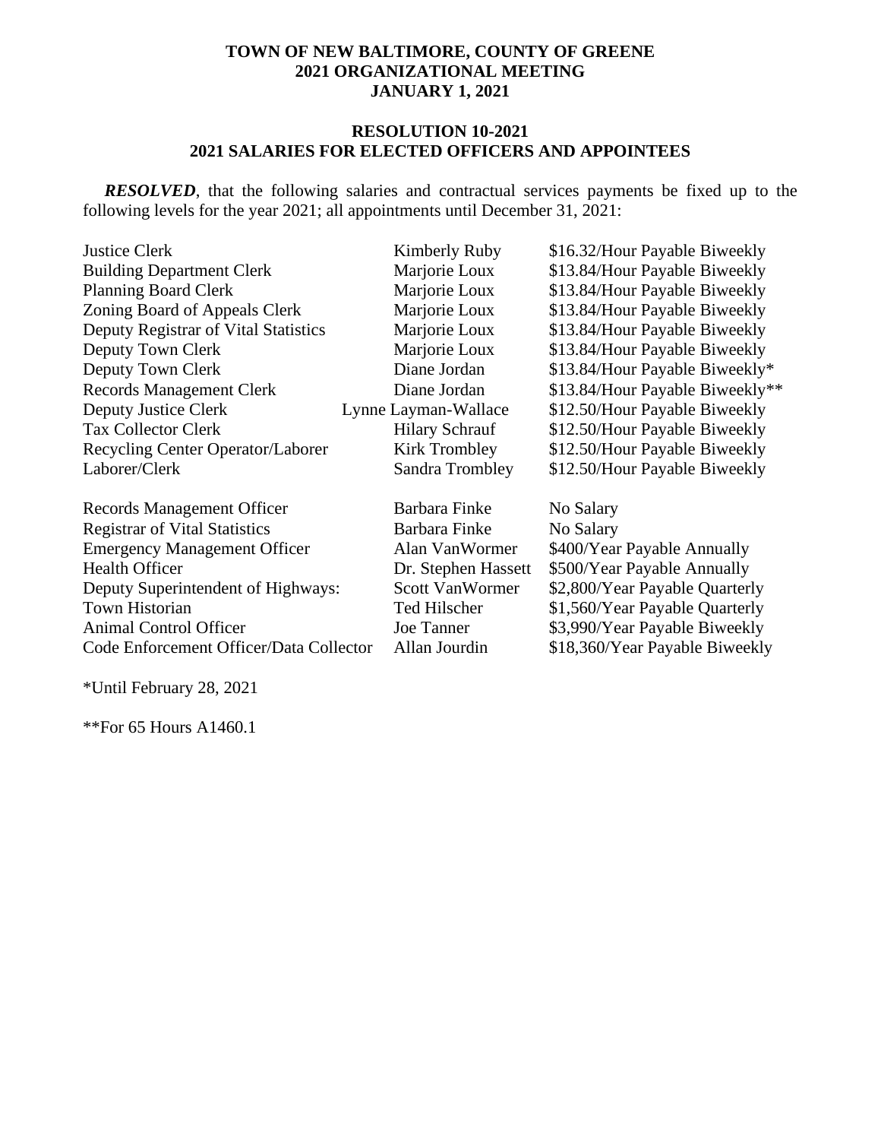### **RESOLUTION 10-2021 2021 SALARIES FOR ELECTED OFFICERS AND APPOINTEES**

*RESOLVED*, that the following salaries and contractual services payments be fixed up to the following levels for the year 2021; all appointments until December 31, 2021:

| <b>Justice Clerk</b>                    | Kimberly Ruby          | \$16.32/Hour Payable Biweekly   |
|-----------------------------------------|------------------------|---------------------------------|
| <b>Building Department Clerk</b>        | Marjorie Loux          | \$13.84/Hour Payable Biweekly   |
| <b>Planning Board Clerk</b>             | Marjorie Loux          | \$13.84/Hour Payable Biweekly   |
| Zoning Board of Appeals Clerk           | Marjorie Loux          | \$13.84/Hour Payable Biweekly   |
| Deputy Registrar of Vital Statistics    | Marjorie Loux          | \$13.84/Hour Payable Biweekly   |
| Deputy Town Clerk                       | Marjorie Loux          | \$13.84/Hour Payable Biweekly   |
| Deputy Town Clerk                       | Diane Jordan           | \$13.84/Hour Payable Biweekly*  |
| <b>Records Management Clerk</b>         | Diane Jordan           | \$13.84/Hour Payable Biweekly** |
| <b>Deputy Justice Clerk</b>             | Lynne Layman-Wallace   | \$12.50/Hour Payable Biweekly   |
| <b>Tax Collector Clerk</b>              | <b>Hilary Schrauf</b>  | \$12.50/Hour Payable Biweekly   |
| Recycling Center Operator/Laborer       | Kirk Trombley          | \$12.50/Hour Payable Biweekly   |
| Laborer/Clerk                           | Sandra Trombley        | \$12.50/Hour Payable Biweekly   |
| <b>Records Management Officer</b>       | Barbara Finke          | No Salary                       |
| <b>Registrar of Vital Statistics</b>    | Barbara Finke          | No Salary                       |
| <b>Emergency Management Officer</b>     | Alan VanWormer         | \$400/Year Payable Annually     |
| <b>Health Officer</b>                   | Dr. Stephen Hassett    | \$500/Year Payable Annually     |
| Deputy Superintendent of Highways:      | <b>Scott VanWormer</b> | \$2,800/Year Payable Quarterly  |
| <b>Town Historian</b>                   | Ted Hilscher           | \$1,560/Year Payable Quarterly  |
| <b>Animal Control Officer</b>           | Joe Tanner             | \$3,990/Year Payable Biweekly   |
| Code Enforcement Officer/Data Collector | Allan Jourdin          | \$18,360/Year Payable Biweekly  |
|                                         |                        |                                 |

\*Until February 28, 2021

\*\*For 65 Hours A1460.1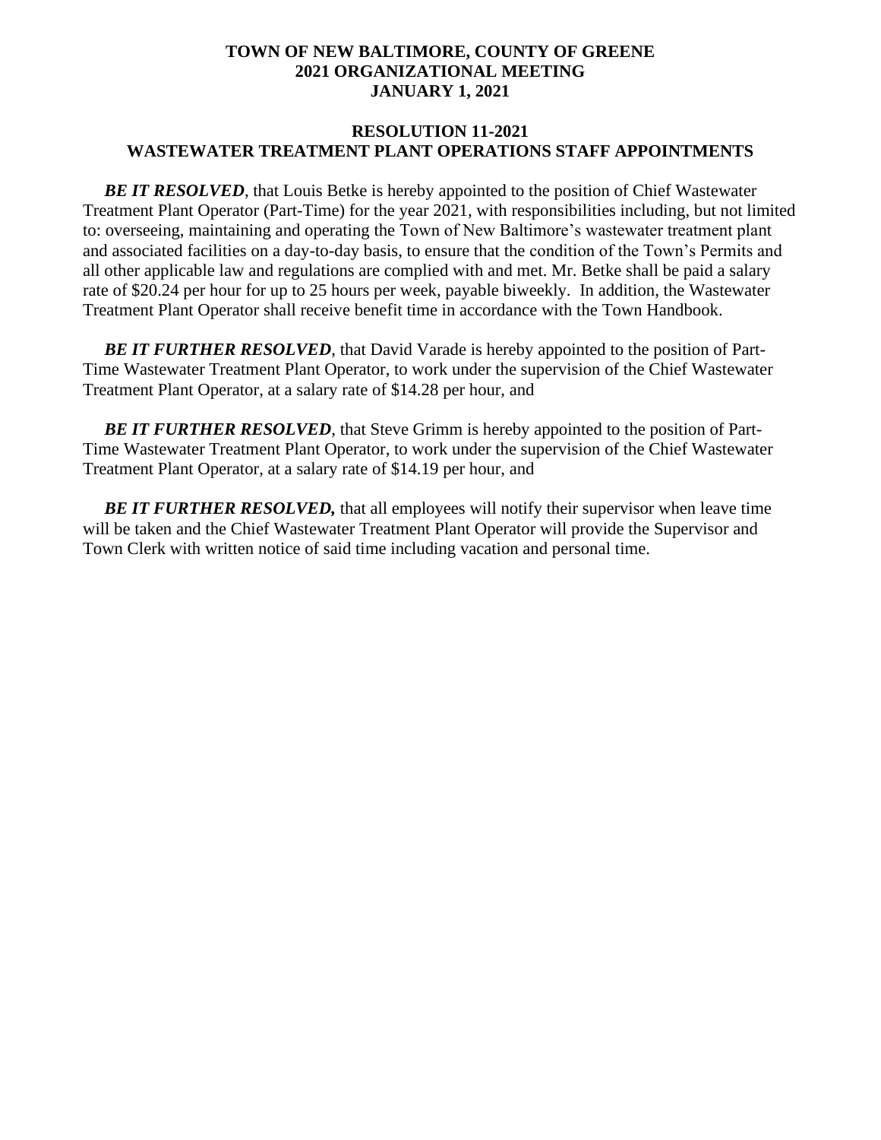#### **RESOLUTION 11-2021 WASTEWATER TREATMENT PLANT OPERATIONS STAFF APPOINTMENTS**

**BE IT RESOLVED**, that Louis Betke is hereby appointed to the position of Chief Wastewater Treatment Plant Operator (Part-Time) for the year 2021, with responsibilities including, but not limited to: overseeing, maintaining and operating the Town of New Baltimore's wastewater treatment plant and associated facilities on a day-to-day basis, to ensure that the condition of the Town's Permits and all other applicable law and regulations are complied with and met. Mr. Betke shall be paid a salary rate of \$20.24 per hour for up to 25 hours per week, payable biweekly. In addition, the Wastewater Treatment Plant Operator shall receive benefit time in accordance with the Town Handbook.

**BE IT FURTHER RESOLVED**, that David Varade is hereby appointed to the position of Part-Time Wastewater Treatment Plant Operator, to work under the supervision of the Chief Wastewater Treatment Plant Operator, at a salary rate of \$14.28 per hour, and

 *BE IT FURTHER RESOLVED*, that Steve Grimm is hereby appointed to the position of Part-Time Wastewater Treatment Plant Operator, to work under the supervision of the Chief Wastewater Treatment Plant Operator, at a salary rate of \$14.19 per hour, and

**BE IT FURTHER RESOLVED, that all employees will notify their supervisor when leave time** will be taken and the Chief Wastewater Treatment Plant Operator will provide the Supervisor and Town Clerk with written notice of said time including vacation and personal time.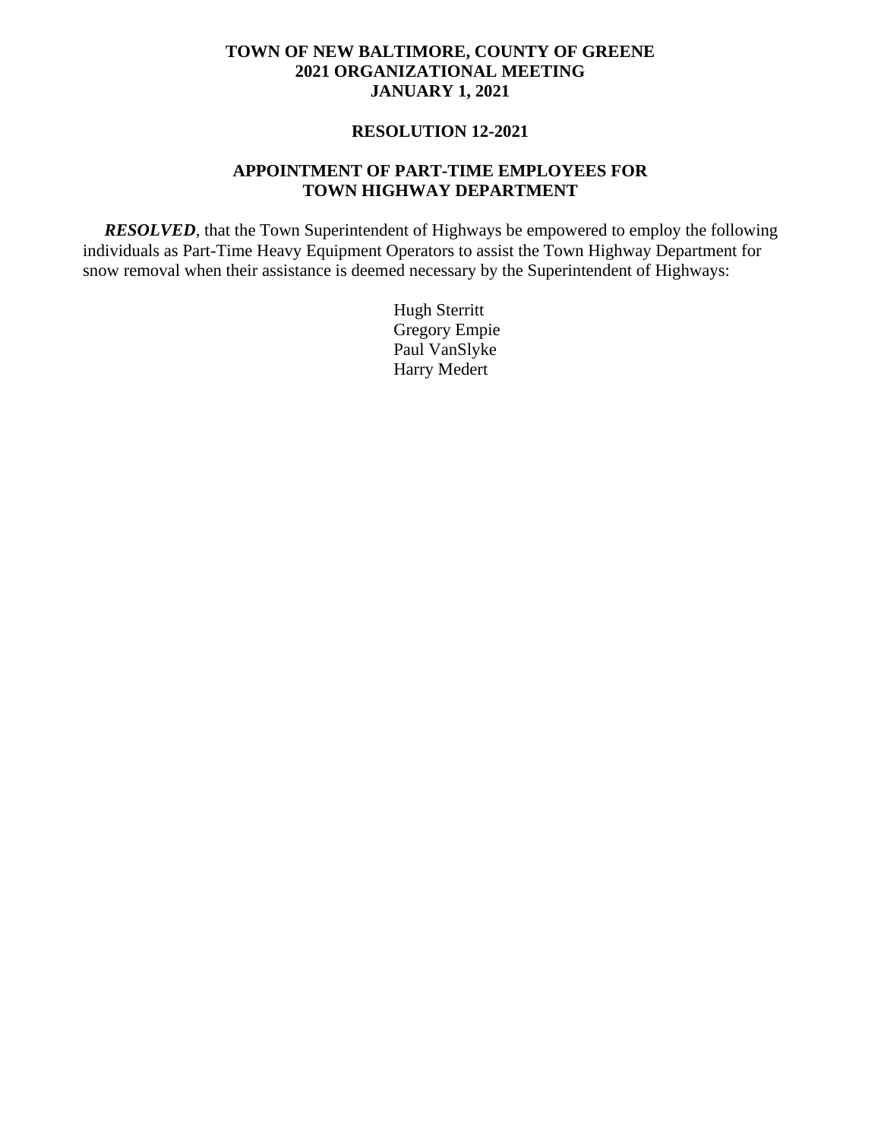### **RESOLUTION 12-2021**

### **APPOINTMENT OF PART-TIME EMPLOYEES FOR TOWN HIGHWAY DEPARTMENT**

 *RESOLVED*, that the Town Superintendent of Highways be empowered to employ the following individuals as Part-Time Heavy Equipment Operators to assist the Town Highway Department for snow removal when their assistance is deemed necessary by the Superintendent of Highways:

> Hugh Sterritt Gregory Empie Paul VanSlyke Harry Medert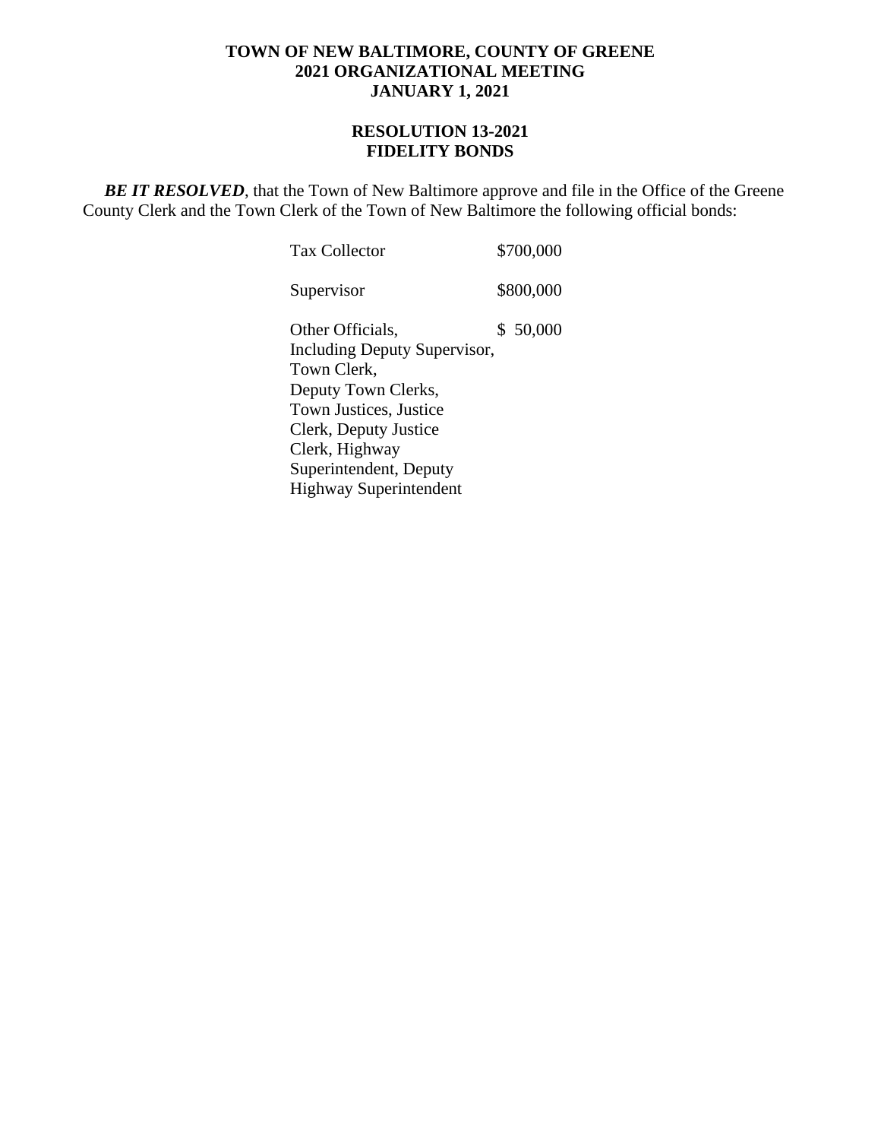### **RESOLUTION 13-2021 FIDELITY BONDS**

**BE IT RESOLVED**, that the Town of New Baltimore approve and file in the Office of the Greene County Clerk and the Town Clerk of the Town of New Baltimore the following official bonds:

| <b>Tax Collector</b>                                                                                                                                                                                                   | \$700,000 |
|------------------------------------------------------------------------------------------------------------------------------------------------------------------------------------------------------------------------|-----------|
| Supervisor                                                                                                                                                                                                             | \$800,000 |
| Other Officials,<br>Including Deputy Supervisor,<br>Town Clerk,<br>Deputy Town Clerks,<br>Town Justices, Justice<br>Clerk, Deputy Justice<br>Clerk, Highway<br>Superintendent, Deputy<br><b>Highway Superintendent</b> | \$50,000  |
|                                                                                                                                                                                                                        |           |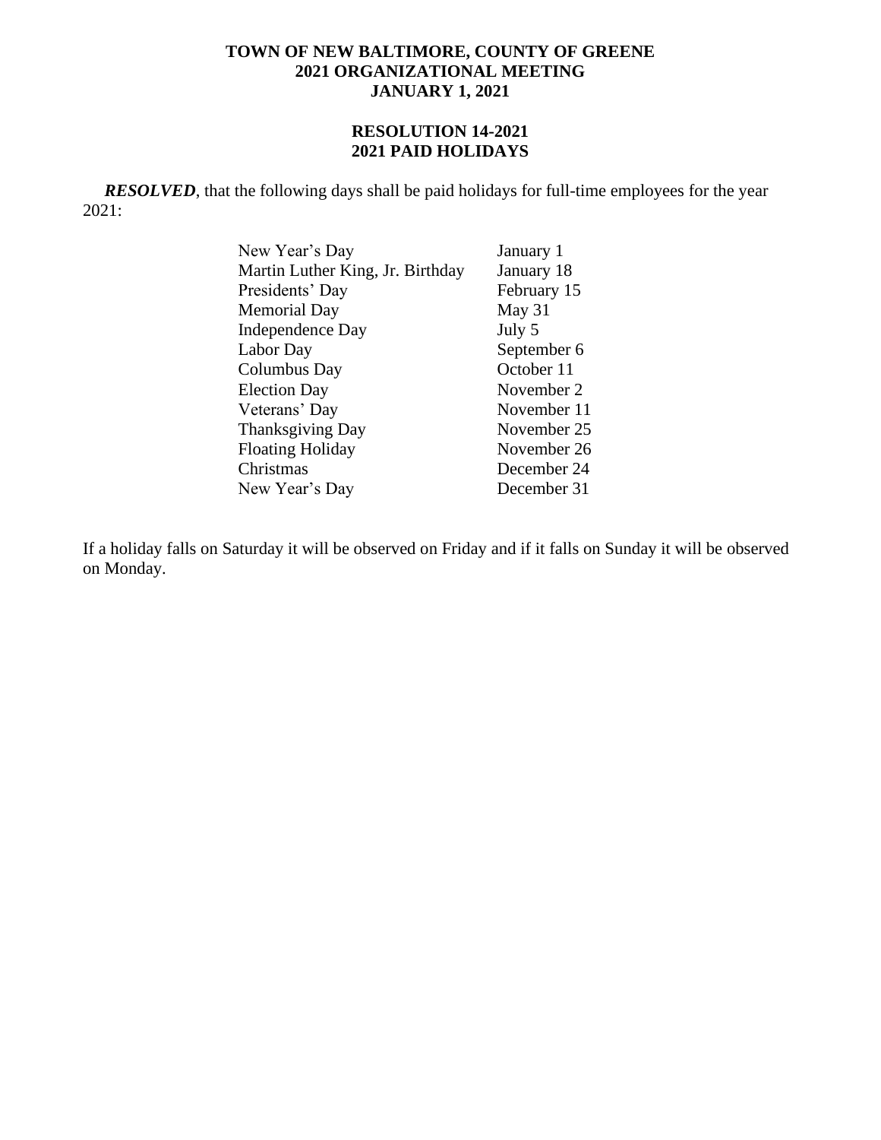# **RESOLUTION 14-2021 2021 PAID HOLIDAYS**

*RESOLVED*, that the following days shall be paid holidays for full-time employees for the year 2021:

| January 1   |
|-------------|
| January 18  |
| February 15 |
| May 31      |
| July 5      |
| September 6 |
| October 11  |
| November 2  |
| November 11 |
| November 25 |
| November 26 |
| December 24 |
| December 31 |
|             |

If a holiday falls on Saturday it will be observed on Friday and if it falls on Sunday it will be observed on Monday.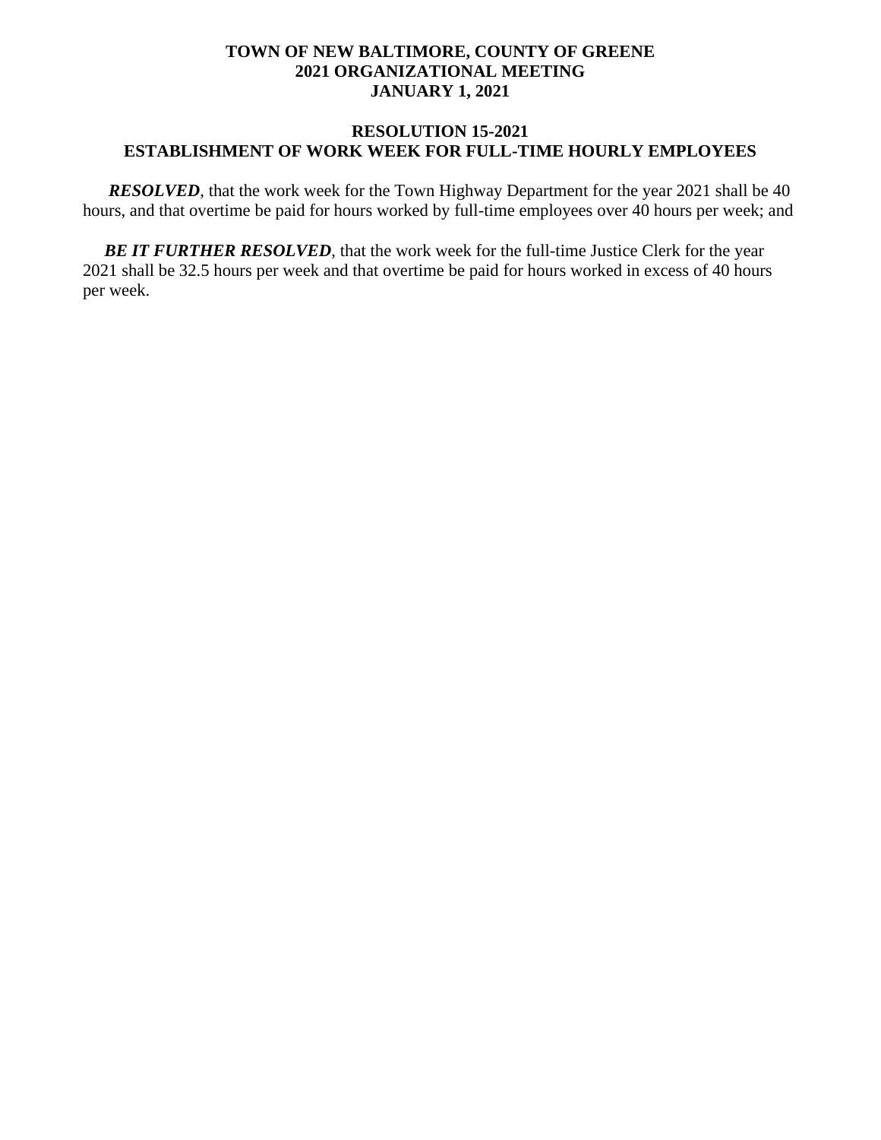### **RESOLUTION 15-2021 ESTABLISHMENT OF WORK WEEK FOR FULL-TIME HOURLY EMPLOYEES**

*RESOLVED*, that the work week for the Town Highway Department for the year 2021 shall be 40 hours, and that overtime be paid for hours worked by full-time employees over 40 hours per week; and

**BE IT FURTHER RESOLVED**, that the work week for the full-time Justice Clerk for the year 2021 shall be 32.5 hours per week and that overtime be paid for hours worked in excess of 40 hours per week.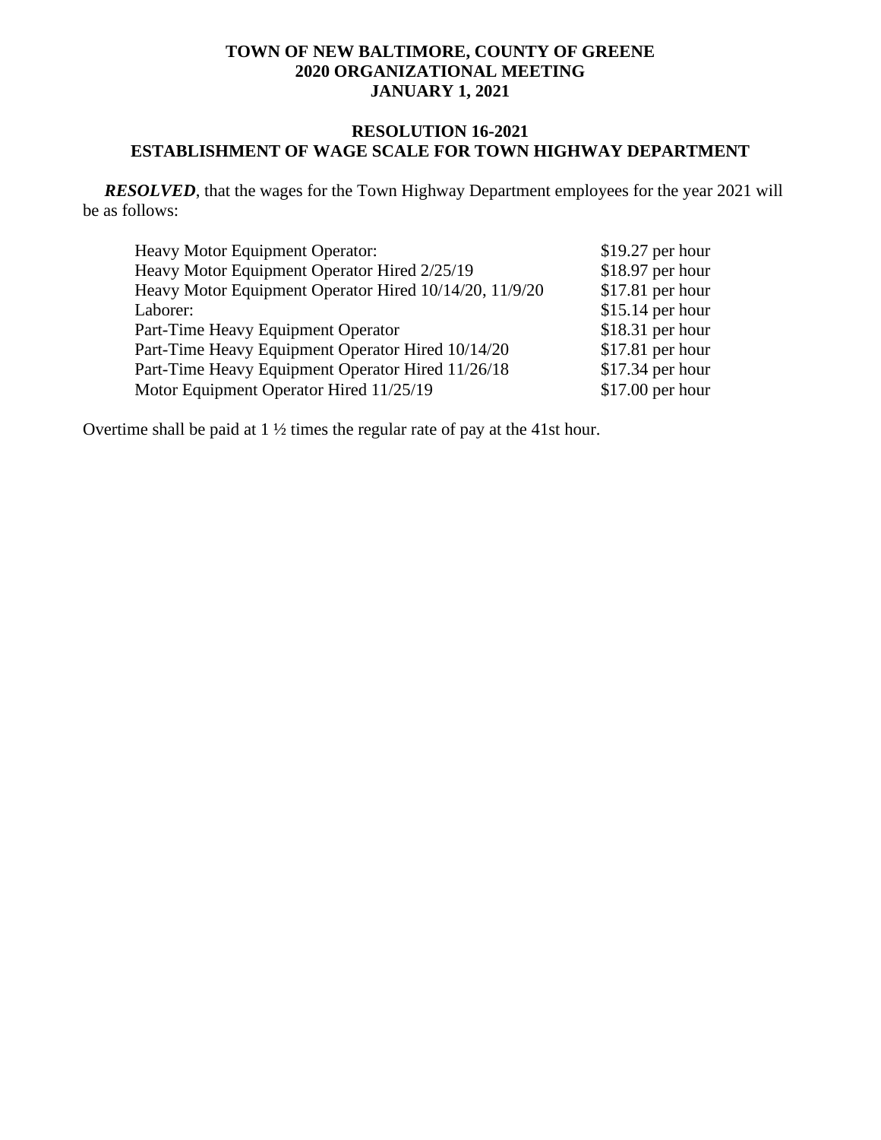# **RESOLUTION 16-2021 ESTABLISHMENT OF WAGE SCALE FOR TOWN HIGHWAY DEPARTMENT**

 *RESOLVED*, that the wages for the Town Highway Department employees for the year 2021 will be as follows:

| <b>Heavy Motor Equipment Operator:</b>                 | $$19.27$ per hour |
|--------------------------------------------------------|-------------------|
| Heavy Motor Equipment Operator Hired 2/25/19           | $$18.97$ per hour |
| Heavy Motor Equipment Operator Hired 10/14/20, 11/9/20 | $$17.81$ per hour |
| Laborer:                                               | $$15.14$ per hour |
| Part-Time Heavy Equipment Operator                     | $$18.31$ per hour |
| Part-Time Heavy Equipment Operator Hired 10/14/20      | $$17.81$ per hour |
| Part-Time Heavy Equipment Operator Hired 11/26/18      | $$17.34$ per hour |
| Motor Equipment Operator Hired 11/25/19                | $$17.00$ per hour |

Overtime shall be paid at 1 ½ times the regular rate of pay at the 41st hour.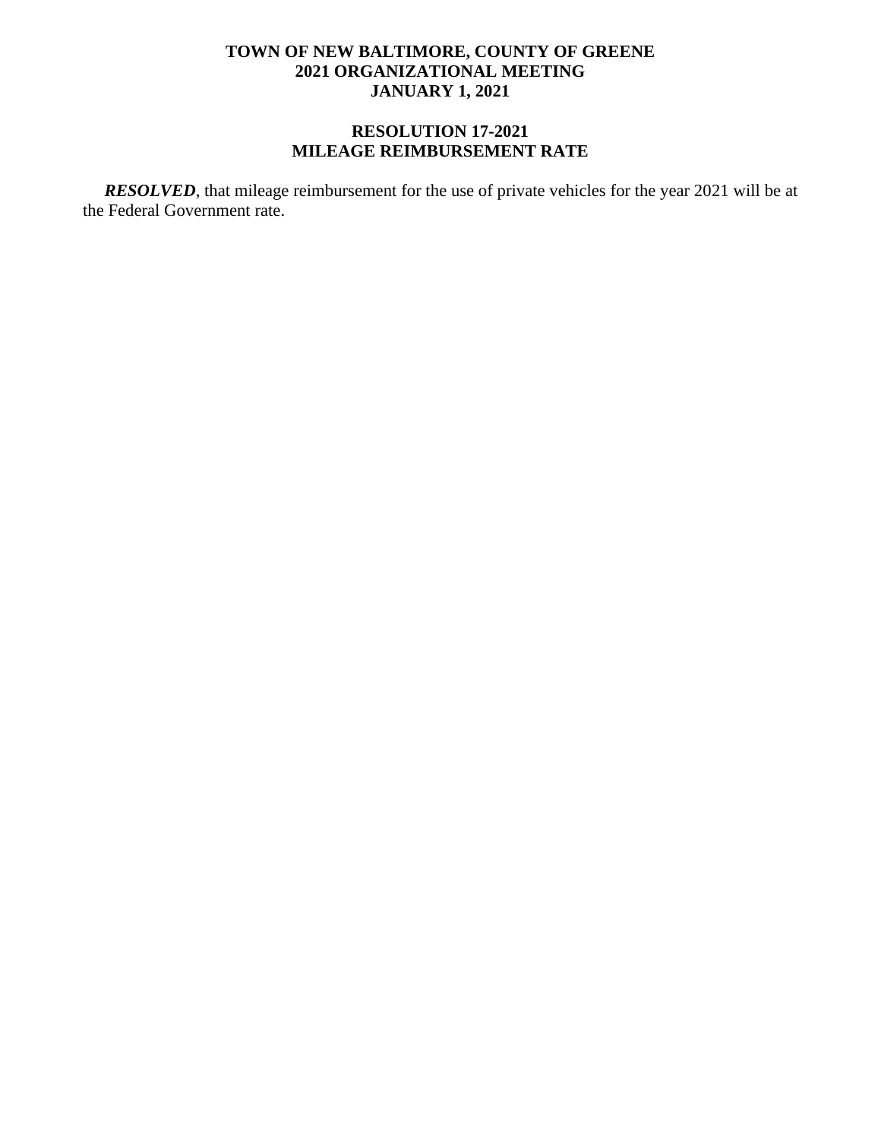# **RESOLUTION 17-2021 MILEAGE REIMBURSEMENT RATE**

 *RESOLVED*, that mileage reimbursement for the use of private vehicles for the year 2021 will be at the Federal Government rate.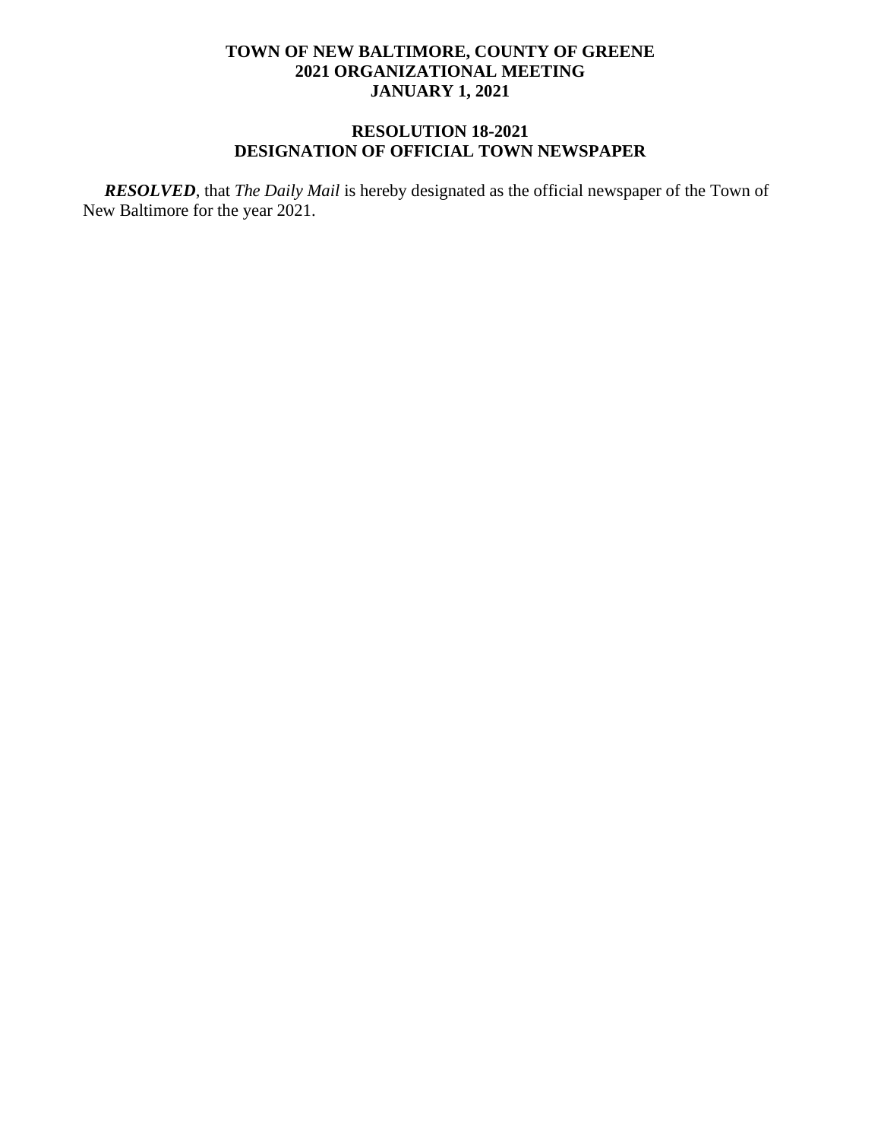# **RESOLUTION 18-2021 DESIGNATION OF OFFICIAL TOWN NEWSPAPER**

 *RESOLVED*, that *The Daily Mail* is hereby designated as the official newspaper of the Town of New Baltimore for the year 2021.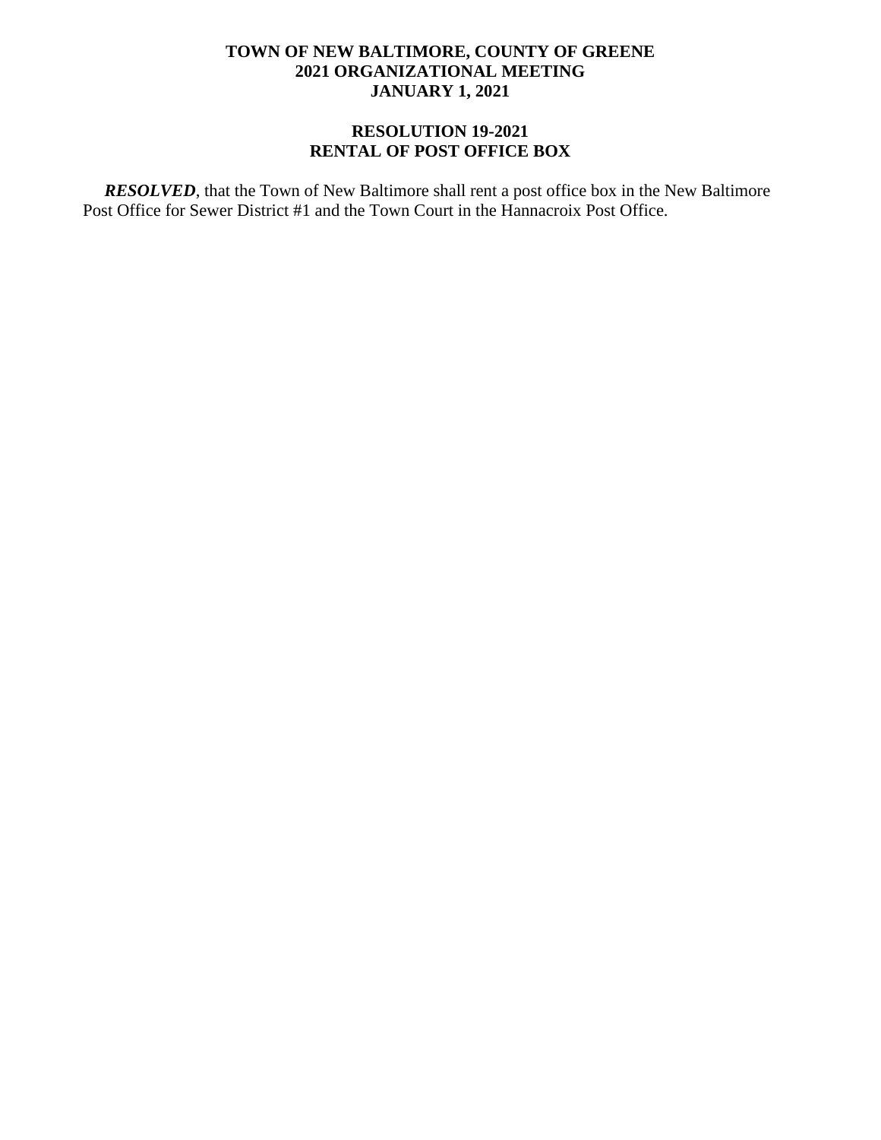# **RESOLUTION 19-2021 RENTAL OF POST OFFICE BOX**

 *RESOLVED*, that the Town of New Baltimore shall rent a post office box in the New Baltimore Post Office for Sewer District #1 and the Town Court in the Hannacroix Post Office.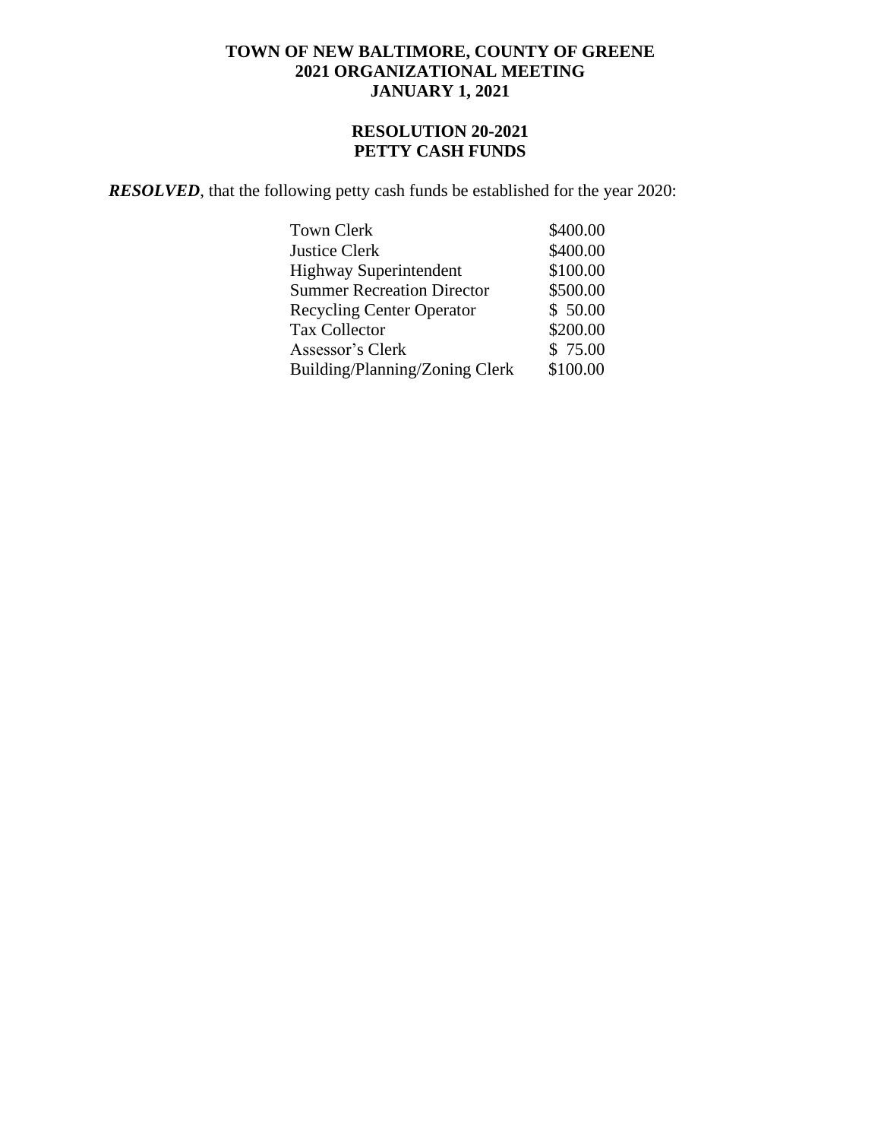# **RESOLUTION 20-2021 PETTY CASH FUNDS**

 *RESOLVED*, that the following petty cash funds be established for the year 2020:

| Town Clerk                        | \$400.00 |
|-----------------------------------|----------|
| <b>Justice Clerk</b>              | \$400.00 |
| <b>Highway Superintendent</b>     | \$100.00 |
| <b>Summer Recreation Director</b> | \$500.00 |
| <b>Recycling Center Operator</b>  | \$50.00  |
| <b>Tax Collector</b>              | \$200.00 |
| Assessor's Clerk                  | \$75.00  |
| Building/Planning/Zoning Clerk    | \$100.00 |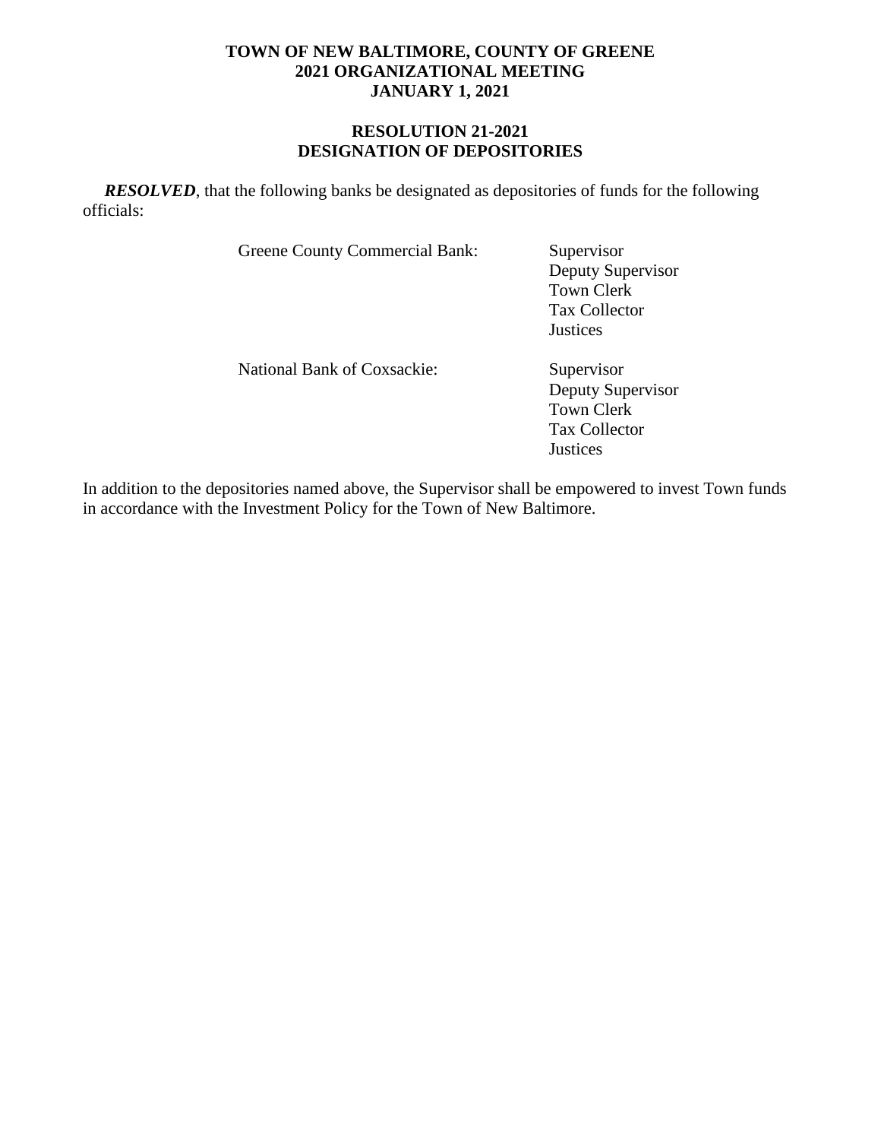### **RESOLUTION 21-2021 DESIGNATION OF DEPOSITORIES**

*RESOLVED*, that the following banks be designated as depositories of funds for the following officials:

Greene County Commercial Bank: Supervisor

Deputy Supervisor Town Clerk Tax Collector *Justices* 

National Bank of Coxsackie: Supervisor

Deputy Supervisor Town Clerk Tax Collector **Justices** 

In addition to the depositories named above, the Supervisor shall be empowered to invest Town funds in accordance with the Investment Policy for the Town of New Baltimore.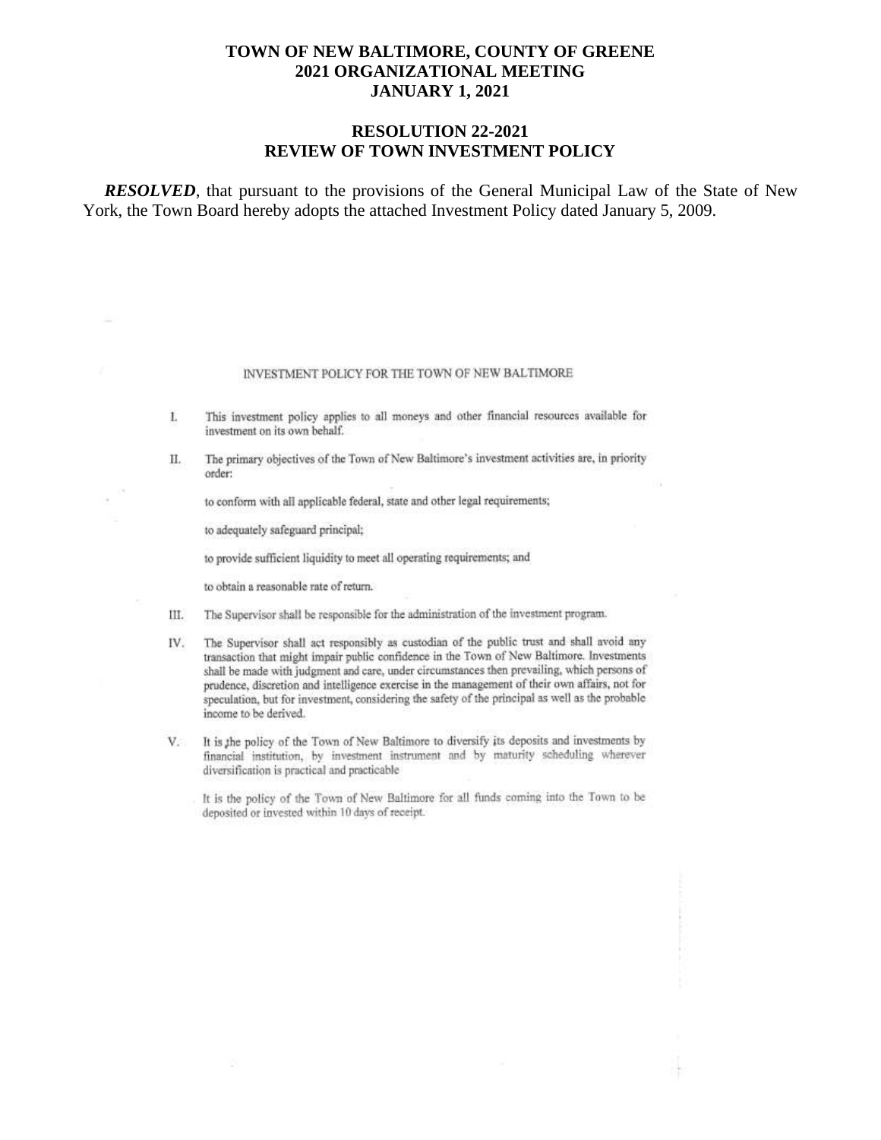#### **RESOLUTION 22-2021 REVIEW OF TOWN INVESTMENT POLICY**

*RESOLVED*, that pursuant to the provisions of the General Municipal Law of the State of New York, the Town Board hereby adopts the attached Investment Policy dated January 5, 2009.

#### INVESTMENT POLICY FOR THE TOWN OF NEW BALTIMORE

- This investment policy applies to all moneys and other financial resources available for L investment on its own behalf.
- The primary objectives of the Town of New Baltimore's investment activities are, in priority П. order:

to conform with all applicable federal, state and other legal requirements;

to adequately safeguard principal;

to provide sufficient liquidity to meet all operating requirements; and

to obtain a reasonable rate of return.

- The Supervisor shall be responsible for the administration of the investment program. Ш.
- The Supervisor shall act responsibly as custodian of the public trust and shall avoid any IV. transaction that might impair public confidence in the Town of New Baltimore. Investments shall be made with judgment and care, under circumstances then prevailing, which persons of prudence, discretion and intelligence exercise in the management of their own affairs, not for speculation, but for investment, considering the safety of the principal as well as the probable income to be derived.
- $V -$ It is the policy of the Town of New Baltimore to diversify its deposits and investments by financial institution, by investment instrument and by maturity scheduling wherever diversification is practical and practicable

It is the policy of the Town of New Baltimore for all funds coming into the Town to be deposited or invested within 10 days of receipt.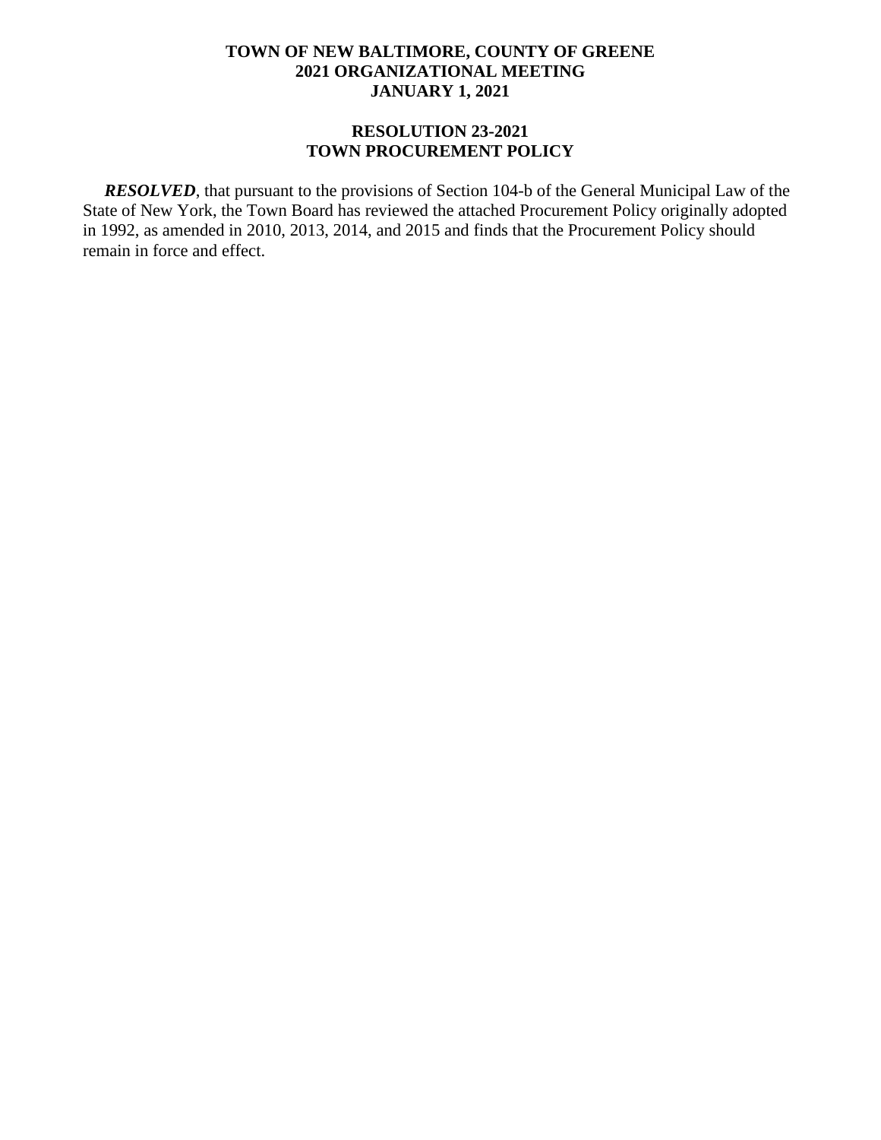#### **RESOLUTION 23-2021 TOWN PROCUREMENT POLICY**

 *RESOLVED*, that pursuant to the provisions of Section 104-b of the General Municipal Law of the State of New York, the Town Board has reviewed the attached Procurement Policy originally adopted in 1992, as amended in 2010, 2013, 2014, and 2015 and finds that the Procurement Policy should remain in force and effect.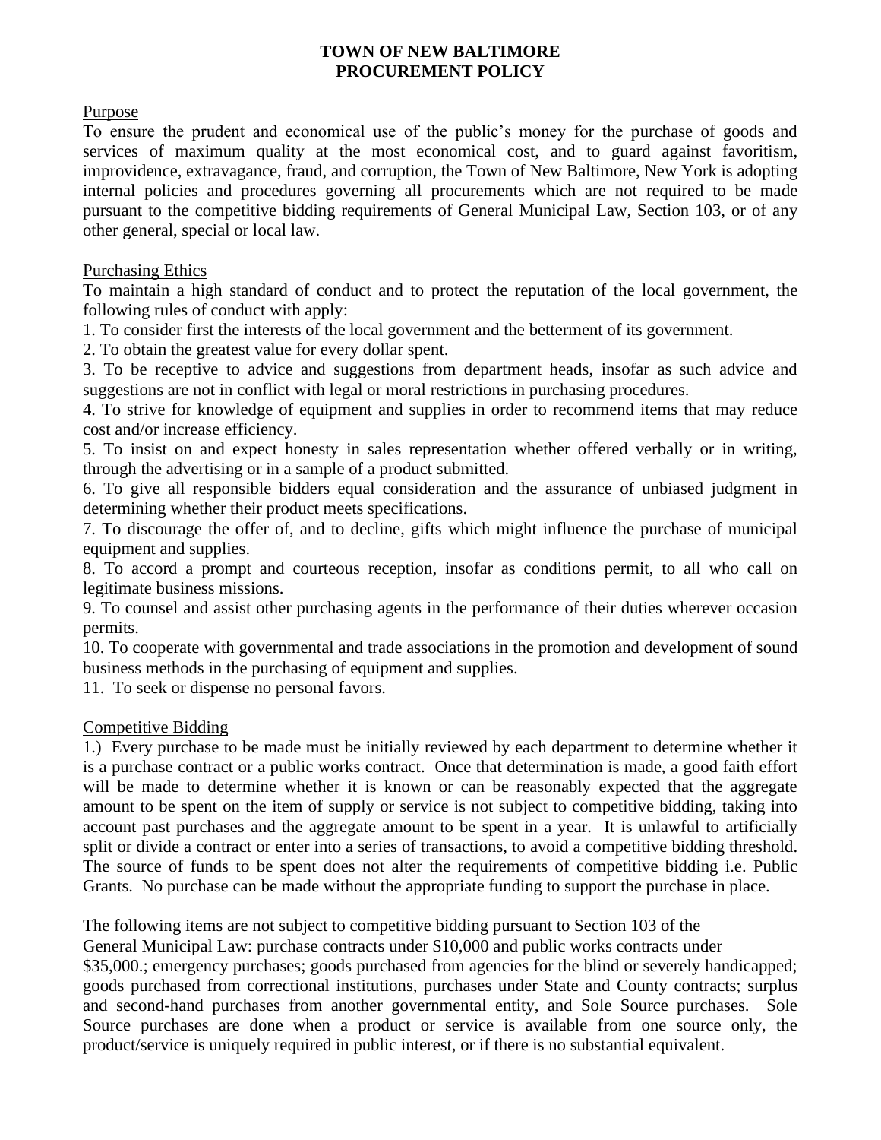# **TOWN OF NEW BALTIMORE PROCUREMENT POLICY**

### Purpose

To ensure the prudent and economical use of the public's money for the purchase of goods and services of maximum quality at the most economical cost, and to guard against favoritism, improvidence, extravagance, fraud, and corruption, the Town of New Baltimore, New York is adopting internal policies and procedures governing all procurements which are not required to be made pursuant to the competitive bidding requirements of General Municipal Law, Section 103, or of any other general, special or local law.

# Purchasing Ethics

To maintain a high standard of conduct and to protect the reputation of the local government, the following rules of conduct with apply:

1. To consider first the interests of the local government and the betterment of its government.

2. To obtain the greatest value for every dollar spent.

3. To be receptive to advice and suggestions from department heads, insofar as such advice and suggestions are not in conflict with legal or moral restrictions in purchasing procedures.

4. To strive for knowledge of equipment and supplies in order to recommend items that may reduce cost and/or increase efficiency.

5. To insist on and expect honesty in sales representation whether offered verbally or in writing, through the advertising or in a sample of a product submitted.

6. To give all responsible bidders equal consideration and the assurance of unbiased judgment in determining whether their product meets specifications.

7. To discourage the offer of, and to decline, gifts which might influence the purchase of municipal equipment and supplies.

8. To accord a prompt and courteous reception, insofar as conditions permit, to all who call on legitimate business missions.

9. To counsel and assist other purchasing agents in the performance of their duties wherever occasion permits.

10. To cooperate with governmental and trade associations in the promotion and development of sound business methods in the purchasing of equipment and supplies.

11. To seek or dispense no personal favors.

# Competitive Bidding

1.) Every purchase to be made must be initially reviewed by each department to determine whether it is a purchase contract or a public works contract. Once that determination is made, a good faith effort will be made to determine whether it is known or can be reasonably expected that the aggregate amount to be spent on the item of supply or service is not subject to competitive bidding, taking into account past purchases and the aggregate amount to be spent in a year. It is unlawful to artificially split or divide a contract or enter into a series of transactions, to avoid a competitive bidding threshold. The source of funds to be spent does not alter the requirements of competitive bidding i.e. Public Grants. No purchase can be made without the appropriate funding to support the purchase in place.

The following items are not subject to competitive bidding pursuant to Section 103 of the

General Municipal Law: purchase contracts under \$10,000 and public works contracts under

\$35,000.; emergency purchases; goods purchased from agencies for the blind or severely handicapped; goods purchased from correctional institutions, purchases under State and County contracts; surplus and second-hand purchases from another governmental entity, and Sole Source purchases. Sole Source purchases are done when a product or service is available from one source only, the product/service is uniquely required in public interest, or if there is no substantial equivalent.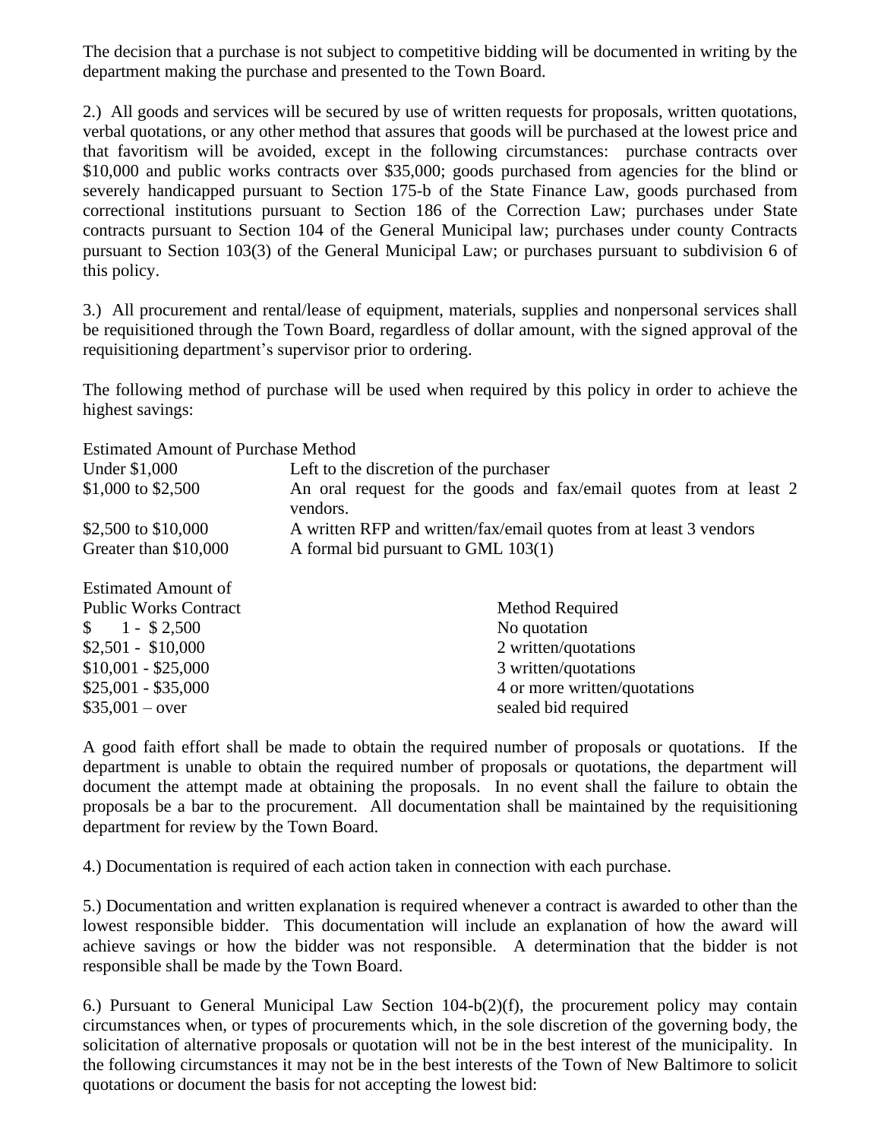The decision that a purchase is not subject to competitive bidding will be documented in writing by the department making the purchase and presented to the Town Board.

2.) All goods and services will be secured by use of written requests for proposals, written quotations, verbal quotations, or any other method that assures that goods will be purchased at the lowest price and that favoritism will be avoided, except in the following circumstances: purchase contracts over \$10,000 and public works contracts over \$35,000; goods purchased from agencies for the blind or severely handicapped pursuant to Section 175-b of the State Finance Law, goods purchased from correctional institutions pursuant to Section 186 of the Correction Law; purchases under State contracts pursuant to Section 104 of the General Municipal law; purchases under county Contracts pursuant to Section 103(3) of the General Municipal Law; or purchases pursuant to subdivision 6 of this policy.

3.) All procurement and rental/lease of equipment, materials, supplies and nonpersonal services shall be requisitioned through the Town Board, regardless of dollar amount, with the signed approval of the requisitioning department's supervisor prior to ordering.

The following method of purchase will be used when required by this policy in order to achieve the highest savings:

Estimated Amount of Purchase Method

| Under \$1,000         | Left to the discretion of the purchaser                            |
|-----------------------|--------------------------------------------------------------------|
| \$1,000 to \$2,500    | An oral request for the goods and fax/email quotes from at least 2 |
|                       | vendors.                                                           |
| \$2,500 to \$10,000   | A written RFP and written/fax/email quotes from at least 3 vendors |
| Greater than \$10,000 | A formal bid pursuant to GML 103(1)                                |
|                       |                                                                    |

| <b>Estimated Amount of</b>   |                              |
|------------------------------|------------------------------|
| <b>Public Works Contract</b> | Method Required              |
| $\$\ 1 - \$\,2,500$          | No quotation                 |
| $$2,501 - $10,000$           | 2 written/quotations         |
| $$10,001 - $25,000$          | 3 written/quotations         |
| $$25,001 - $35,000$          | 4 or more written/quotations |
| $$35,001 - over$             | sealed bid required          |

A good faith effort shall be made to obtain the required number of proposals or quotations. If the department is unable to obtain the required number of proposals or quotations, the department will document the attempt made at obtaining the proposals. In no event shall the failure to obtain the proposals be a bar to the procurement. All documentation shall be maintained by the requisitioning department for review by the Town Board.

4.) Documentation is required of each action taken in connection with each purchase.

5.) Documentation and written explanation is required whenever a contract is awarded to other than the lowest responsible bidder. This documentation will include an explanation of how the award will achieve savings or how the bidder was not responsible. A determination that the bidder is not responsible shall be made by the Town Board.

6.) Pursuant to General Municipal Law Section 104-b(2)(f), the procurement policy may contain circumstances when, or types of procurements which, in the sole discretion of the governing body, the solicitation of alternative proposals or quotation will not be in the best interest of the municipality. In the following circumstances it may not be in the best interests of the Town of New Baltimore to solicit quotations or document the basis for not accepting the lowest bid: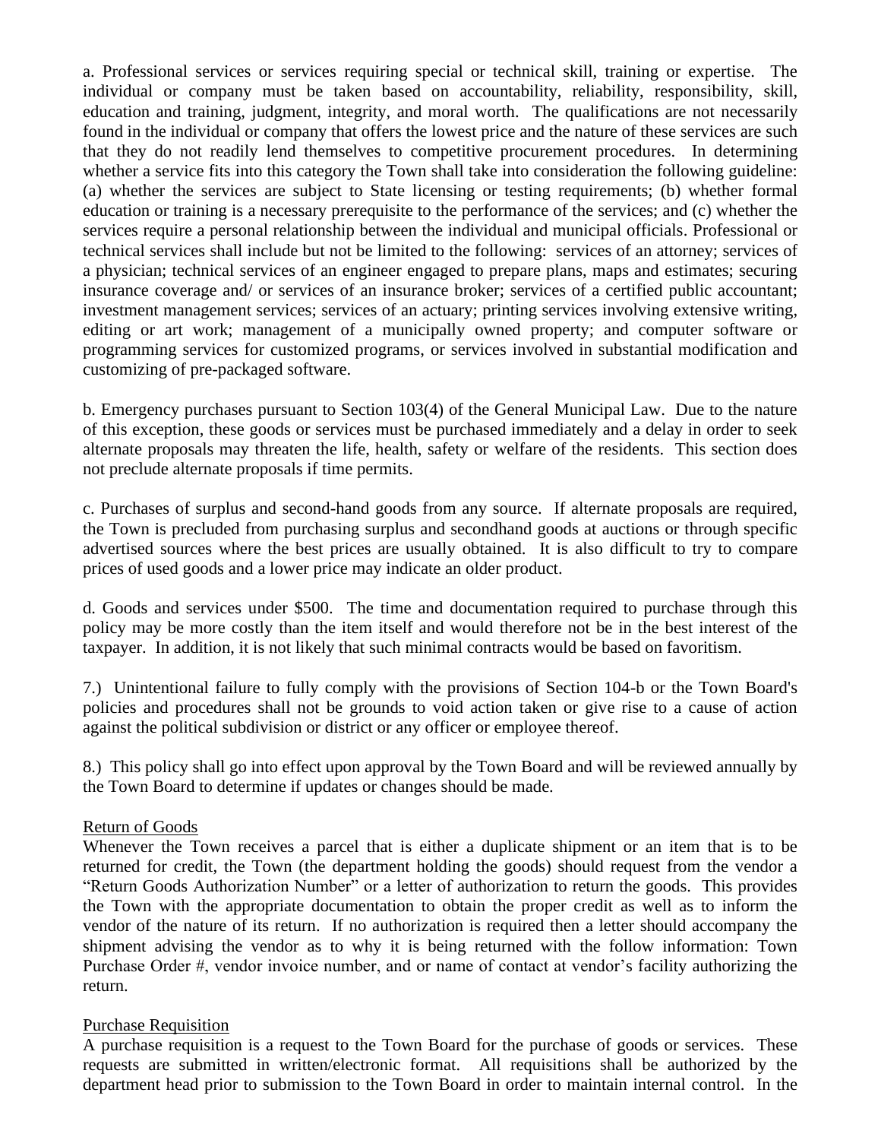a. Professional services or services requiring special or technical skill, training or expertise. The individual or company must be taken based on accountability, reliability, responsibility, skill, education and training, judgment, integrity, and moral worth. The qualifications are not necessarily found in the individual or company that offers the lowest price and the nature of these services are such that they do not readily lend themselves to competitive procurement procedures. In determining whether a service fits into this category the Town shall take into consideration the following guideline: (a) whether the services are subject to State licensing or testing requirements; (b) whether formal education or training is a necessary prerequisite to the performance of the services; and (c) whether the services require a personal relationship between the individual and municipal officials. Professional or technical services shall include but not be limited to the following: services of an attorney; services of a physician; technical services of an engineer engaged to prepare plans, maps and estimates; securing insurance coverage and/ or services of an insurance broker; services of a certified public accountant; investment management services; services of an actuary; printing services involving extensive writing, editing or art work; management of a municipally owned property; and computer software or programming services for customized programs, or services involved in substantial modification and customizing of pre-packaged software.

b. Emergency purchases pursuant to Section 103(4) of the General Municipal Law. Due to the nature of this exception, these goods or services must be purchased immediately and a delay in order to seek alternate proposals may threaten the life, health, safety or welfare of the residents. This section does not preclude alternate proposals if time permits.

c. Purchases of surplus and second-hand goods from any source. If alternate proposals are required, the Town is precluded from purchasing surplus and secondhand goods at auctions or through specific advertised sources where the best prices are usually obtained. It is also difficult to try to compare prices of used goods and a lower price may indicate an older product.

d. Goods and services under \$500. The time and documentation required to purchase through this policy may be more costly than the item itself and would therefore not be in the best interest of the taxpayer. In addition, it is not likely that such minimal contracts would be based on favoritism.

7.) Unintentional failure to fully comply with the provisions of Section 104-b or the Town Board's policies and procedures shall not be grounds to void action taken or give rise to a cause of action against the political subdivision or district or any officer or employee thereof.

8.) This policy shall go into effect upon approval by the Town Board and will be reviewed annually by the Town Board to determine if updates or changes should be made.

### Return of Goods

Whenever the Town receives a parcel that is either a duplicate shipment or an item that is to be returned for credit, the Town (the department holding the goods) should request from the vendor a "Return Goods Authorization Number" or a letter of authorization to return the goods. This provides the Town with the appropriate documentation to obtain the proper credit as well as to inform the vendor of the nature of its return. If no authorization is required then a letter should accompany the shipment advising the vendor as to why it is being returned with the follow information: Town Purchase Order #, vendor invoice number, and or name of contact at vendor's facility authorizing the return.

### Purchase Requisition

A purchase requisition is a request to the Town Board for the purchase of goods or services. These requests are submitted in written/electronic format. All requisitions shall be authorized by the department head prior to submission to the Town Board in order to maintain internal control. In the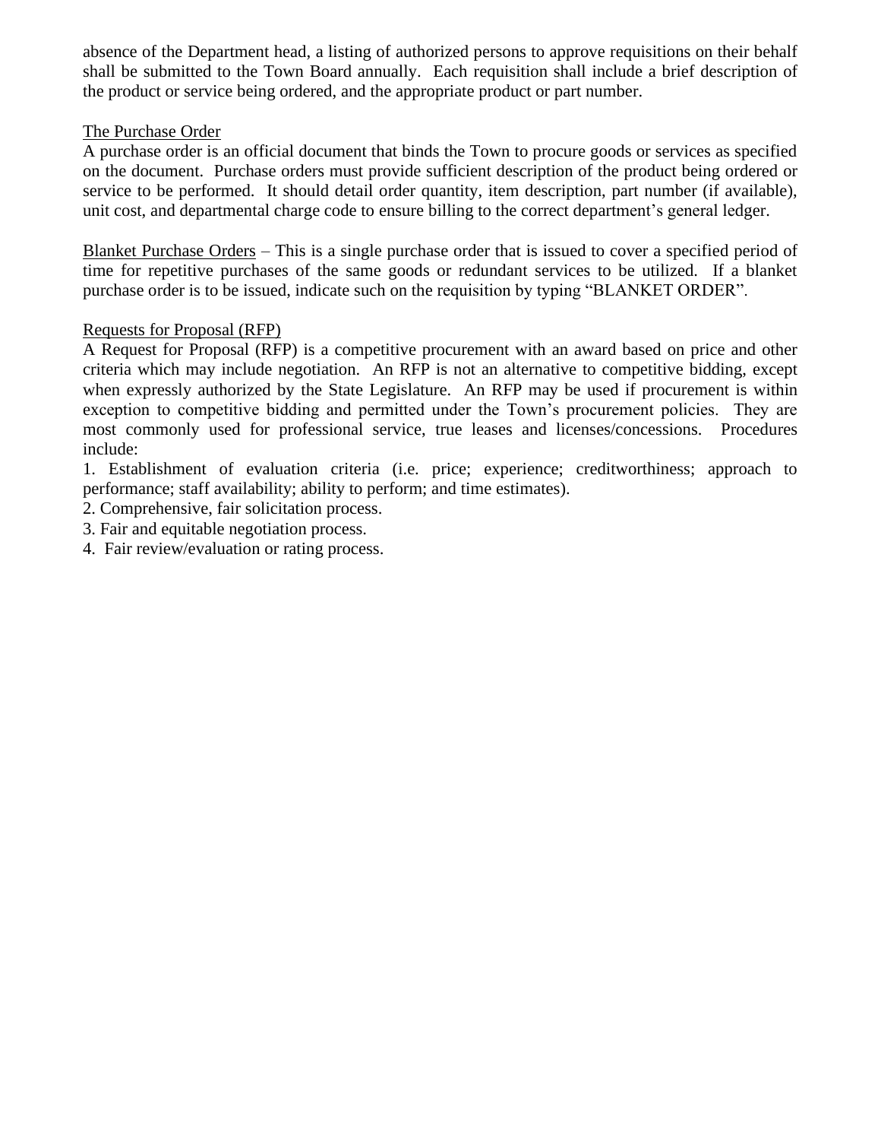absence of the Department head, a listing of authorized persons to approve requisitions on their behalf shall be submitted to the Town Board annually. Each requisition shall include a brief description of the product or service being ordered, and the appropriate product or part number.

### The Purchase Order

A purchase order is an official document that binds the Town to procure goods or services as specified on the document. Purchase orders must provide sufficient description of the product being ordered or service to be performed. It should detail order quantity, item description, part number (if available), unit cost, and departmental charge code to ensure billing to the correct department's general ledger.

Blanket Purchase Orders – This is a single purchase order that is issued to cover a specified period of time for repetitive purchases of the same goods or redundant services to be utilized. If a blanket purchase order is to be issued, indicate such on the requisition by typing "BLANKET ORDER".

# Requests for Proposal (RFP)

A Request for Proposal (RFP) is a competitive procurement with an award based on price and other criteria which may include negotiation. An RFP is not an alternative to competitive bidding, except when expressly authorized by the State Legislature. An RFP may be used if procurement is within exception to competitive bidding and permitted under the Town's procurement policies. They are most commonly used for professional service, true leases and licenses/concessions. Procedures include:

1. Establishment of evaluation criteria (i.e. price; experience; creditworthiness; approach to performance; staff availability; ability to perform; and time estimates).

2. Comprehensive, fair solicitation process.

- 3. Fair and equitable negotiation process.
- 4. Fair review/evaluation or rating process.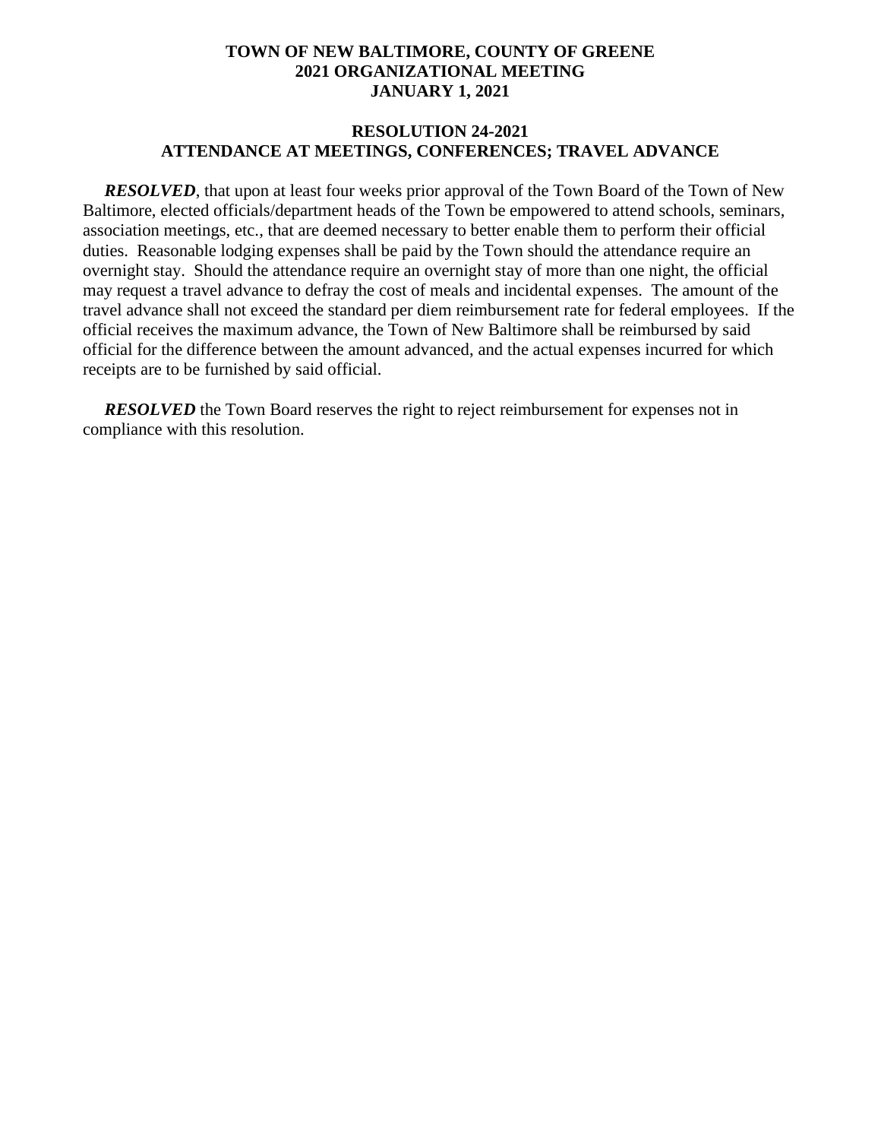### **RESOLUTION 24-2021 ATTENDANCE AT MEETINGS, CONFERENCES; TRAVEL ADVANCE**

*RESOLVED*, that upon at least four weeks prior approval of the Town Board of the Town of New Baltimore, elected officials/department heads of the Town be empowered to attend schools, seminars, association meetings, etc., that are deemed necessary to better enable them to perform their official duties. Reasonable lodging expenses shall be paid by the Town should the attendance require an overnight stay. Should the attendance require an overnight stay of more than one night, the official may request a travel advance to defray the cost of meals and incidental expenses. The amount of the travel advance shall not exceed the standard per diem reimbursement rate for federal employees. If the official receives the maximum advance, the Town of New Baltimore shall be reimbursed by said official for the difference between the amount advanced, and the actual expenses incurred for which receipts are to be furnished by said official.

*RESOLVED* the Town Board reserves the right to reject reimbursement for expenses not in compliance with this resolution.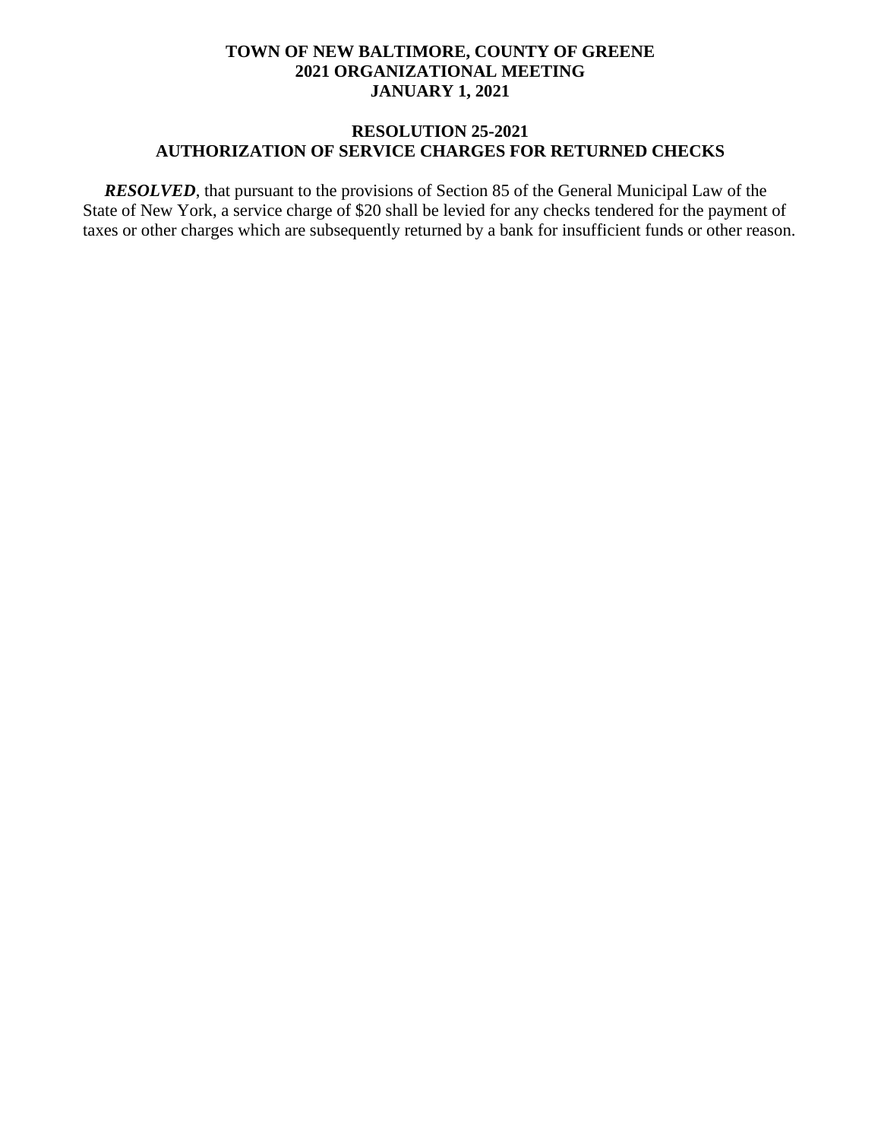### **RESOLUTION 25-2021 AUTHORIZATION OF SERVICE CHARGES FOR RETURNED CHECKS**

*RESOLVED*, that pursuant to the provisions of Section 85 of the General Municipal Law of the State of New York, a service charge of \$20 shall be levied for any checks tendered for the payment of taxes or other charges which are subsequently returned by a bank for insufficient funds or other reason.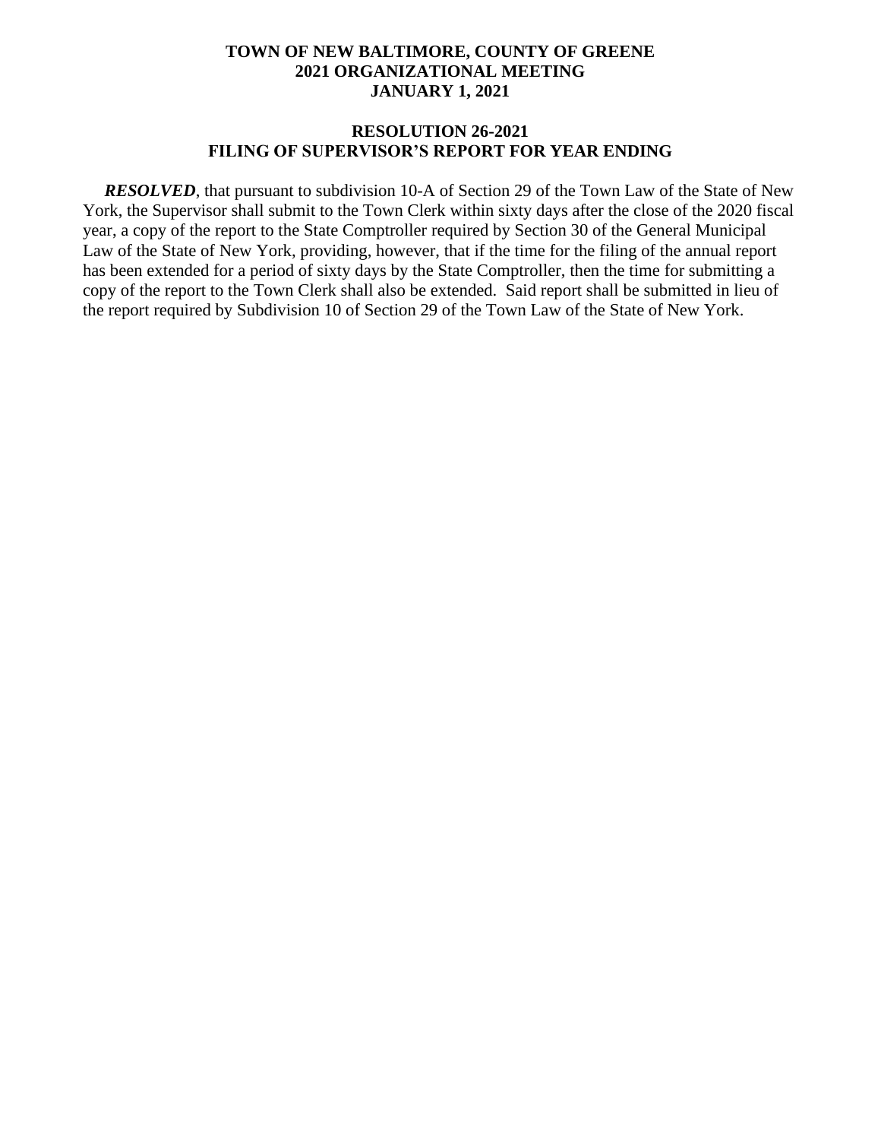#### **RESOLUTION 26-2021 FILING OF SUPERVISOR'S REPORT FOR YEAR ENDING**

 *RESOLVED*, that pursuant to subdivision 10-A of Section 29 of the Town Law of the State of New York, the Supervisor shall submit to the Town Clerk within sixty days after the close of the 2020 fiscal year, a copy of the report to the State Comptroller required by Section 30 of the General Municipal Law of the State of New York, providing, however, that if the time for the filing of the annual report has been extended for a period of sixty days by the State Comptroller, then the time for submitting a copy of the report to the Town Clerk shall also be extended. Said report shall be submitted in lieu of the report required by Subdivision 10 of Section 29 of the Town Law of the State of New York.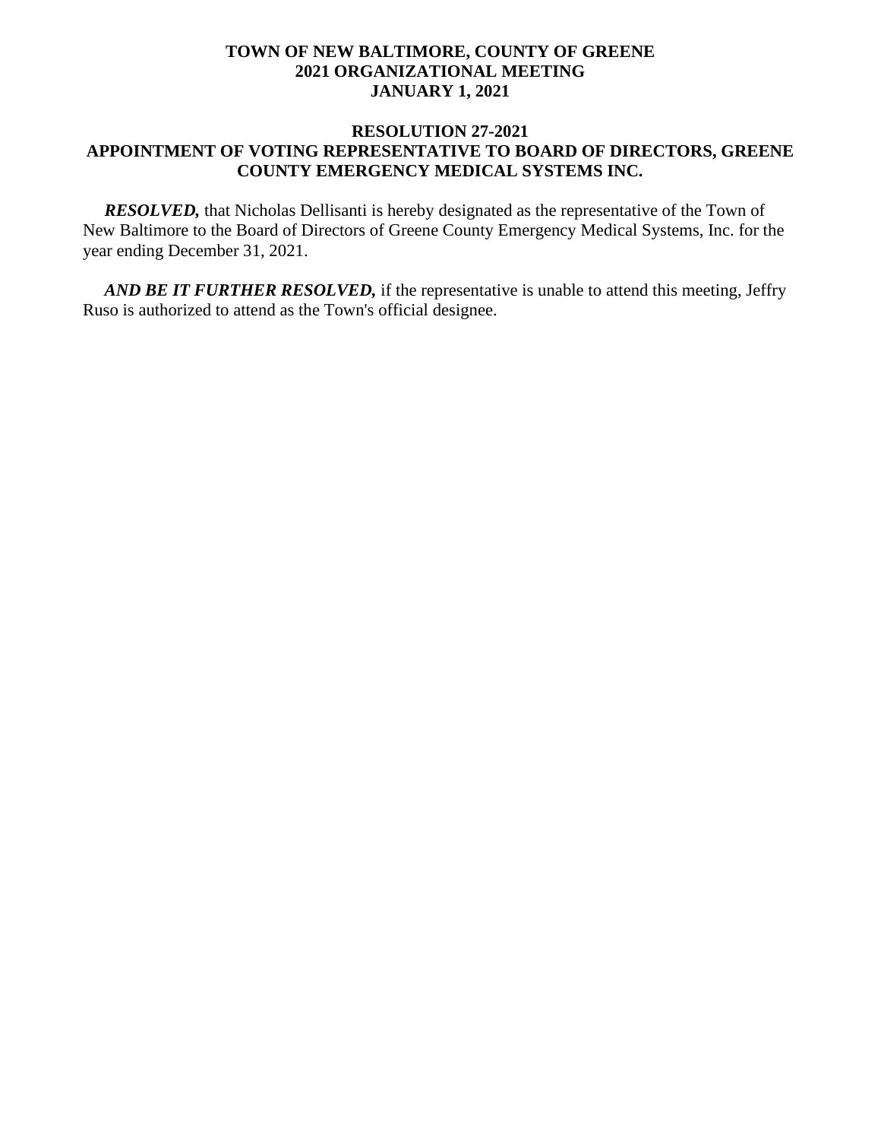### **RESOLUTION 27-2021 APPOINTMENT OF VOTING REPRESENTATIVE TO BOARD OF DIRECTORS, GREENE COUNTY EMERGENCY MEDICAL SYSTEMS INC.**

**RESOLVED**, that Nicholas Dellisanti is hereby designated as the representative of the Town of New Baltimore to the Board of Directors of Greene County Emergency Medical Systems, Inc. for the year ending December 31, 2021.

 *AND BE IT FURTHER RESOLVED,* if the representative is unable to attend this meeting, Jeffry Ruso is authorized to attend as the Town's official designee.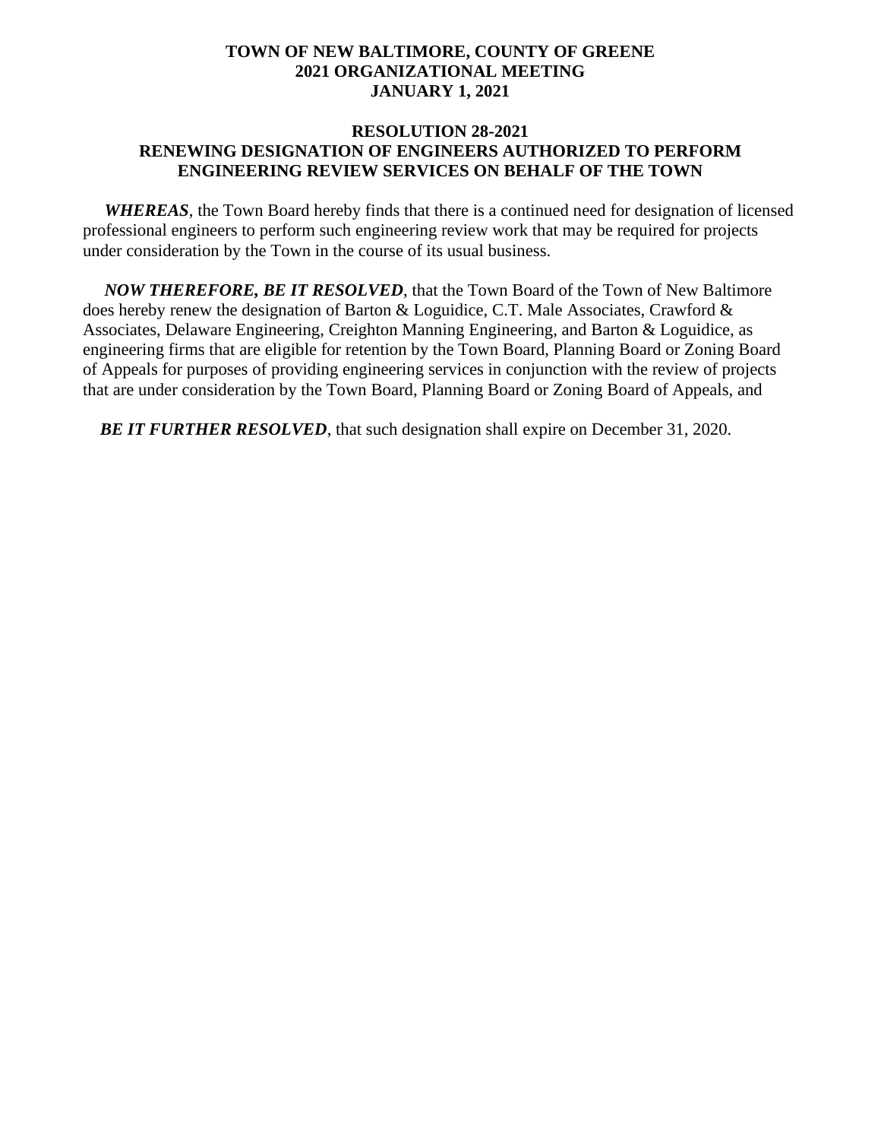#### **RESOLUTION 28-2021 RENEWING DESIGNATION OF ENGINEERS AUTHORIZED TO PERFORM ENGINEERING REVIEW SERVICES ON BEHALF OF THE TOWN**

 *WHEREAS*, the Town Board hereby finds that there is a continued need for designation of licensed professional engineers to perform such engineering review work that may be required for projects under consideration by the Town in the course of its usual business.

 *NOW THEREFORE, BE IT RESOLVED*, that the Town Board of the Town of New Baltimore does hereby renew the designation of Barton & Loguidice, C.T. Male Associates, Crawford  $\&$ Associates, Delaware Engineering, Creighton Manning Engineering, and Barton & Loguidice, as engineering firms that are eligible for retention by the Town Board, Planning Board or Zoning Board of Appeals for purposes of providing engineering services in conjunction with the review of projects that are under consideration by the Town Board, Planning Board or Zoning Board of Appeals, and

*BE IT FURTHER RESOLVED*, that such designation shall expire on December 31, 2020.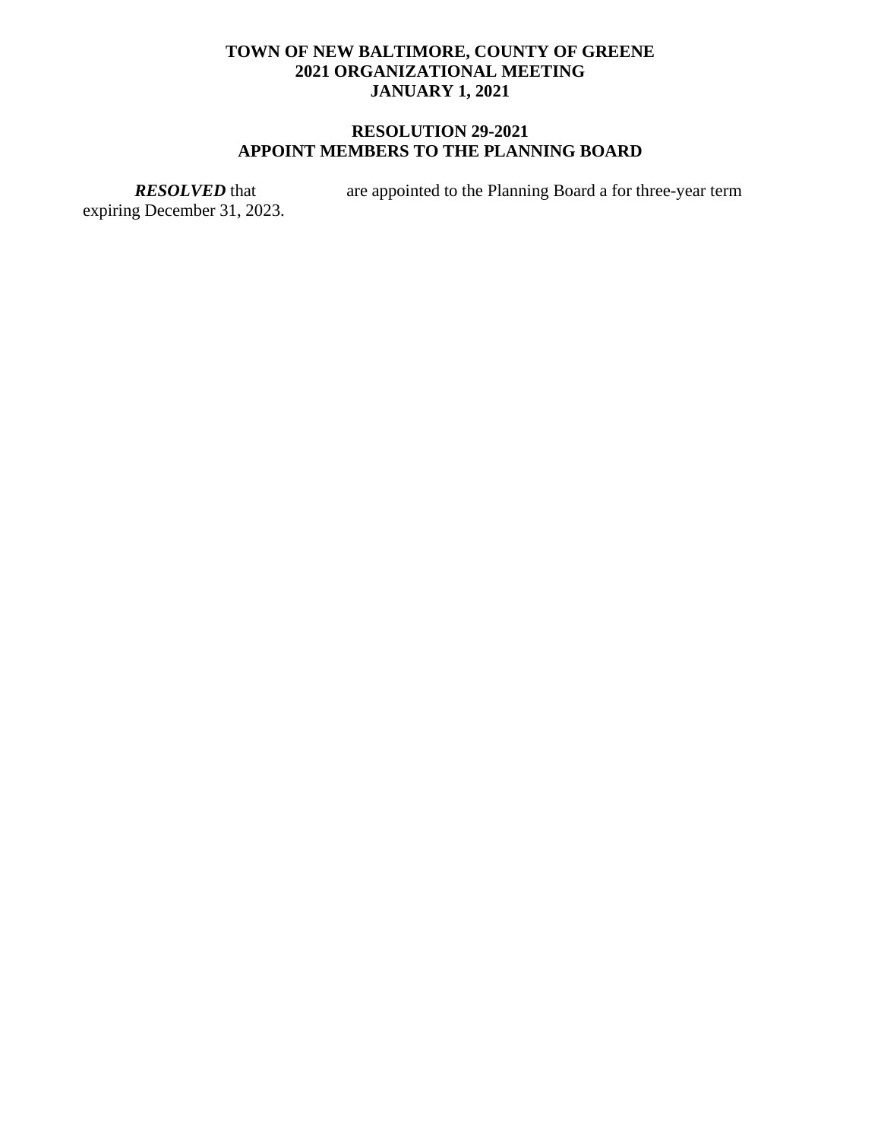# **RESOLUTION 29-2021 APPOINT MEMBERS TO THE PLANNING BOARD**

expiring December 31, 2023.

*RESOLVED* that are appointed to the Planning Board a for three-year term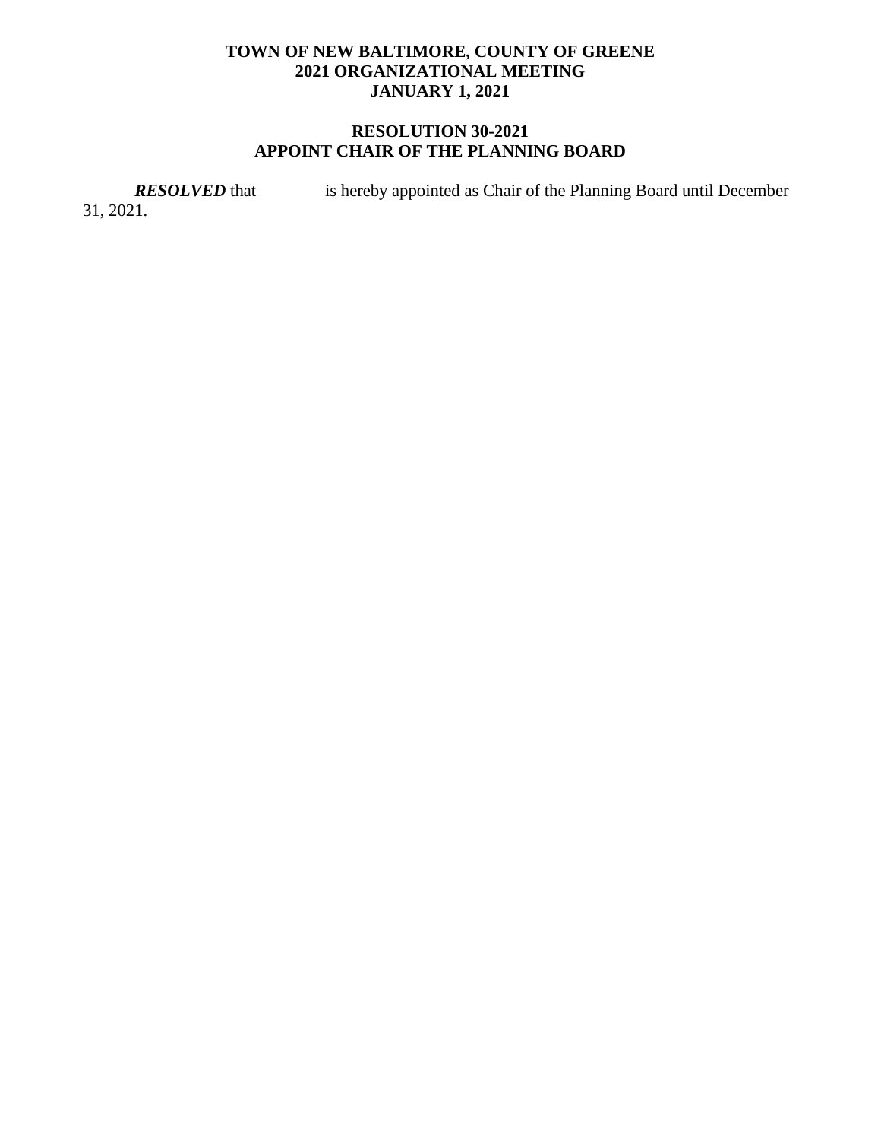# **RESOLUTION 30-2021 APPOINT CHAIR OF THE PLANNING BOARD**

*RESOLVED* that is hereby appointed as Chair of the Planning Board until December

31, 2021.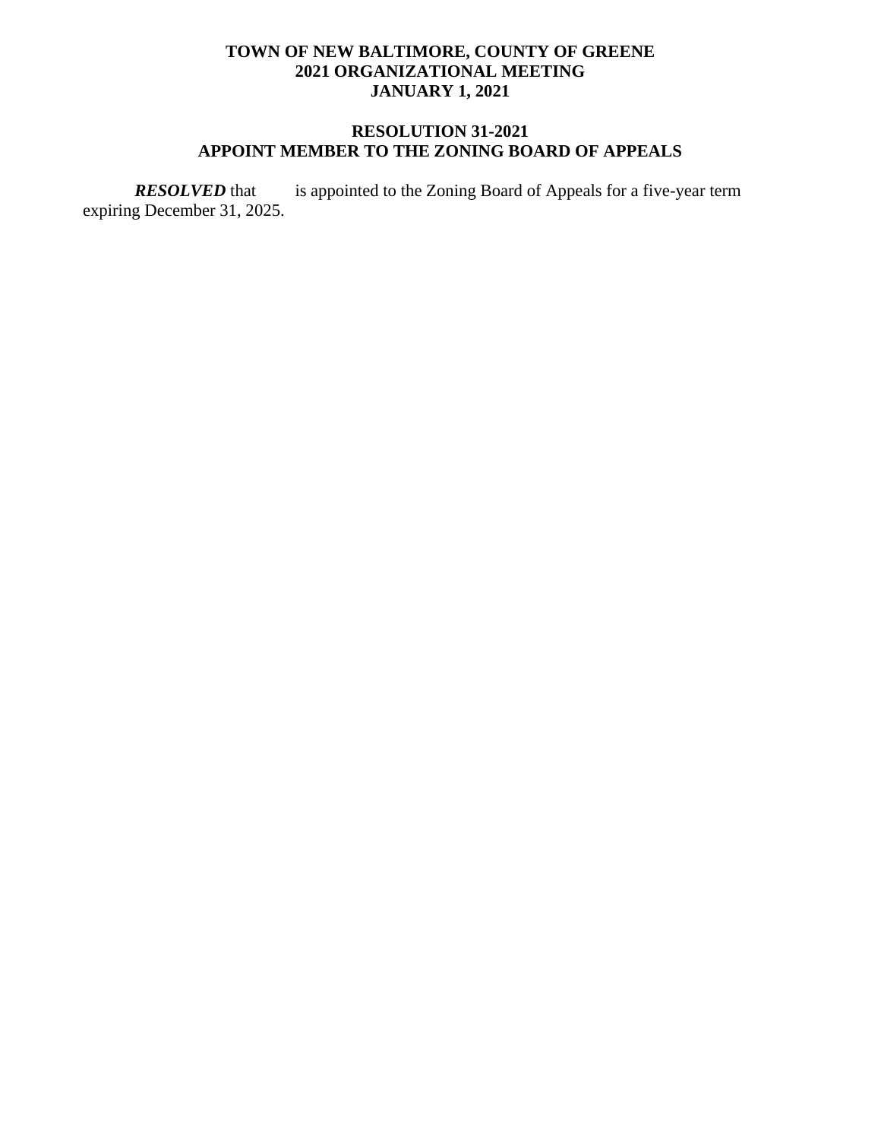# **RESOLUTION 31-2021 APPOINT MEMBER TO THE ZONING BOARD OF APPEALS**

*RESOLVED* that is appointed to the Zoning Board of Appeals for a five-year term expiring December 31, 2025.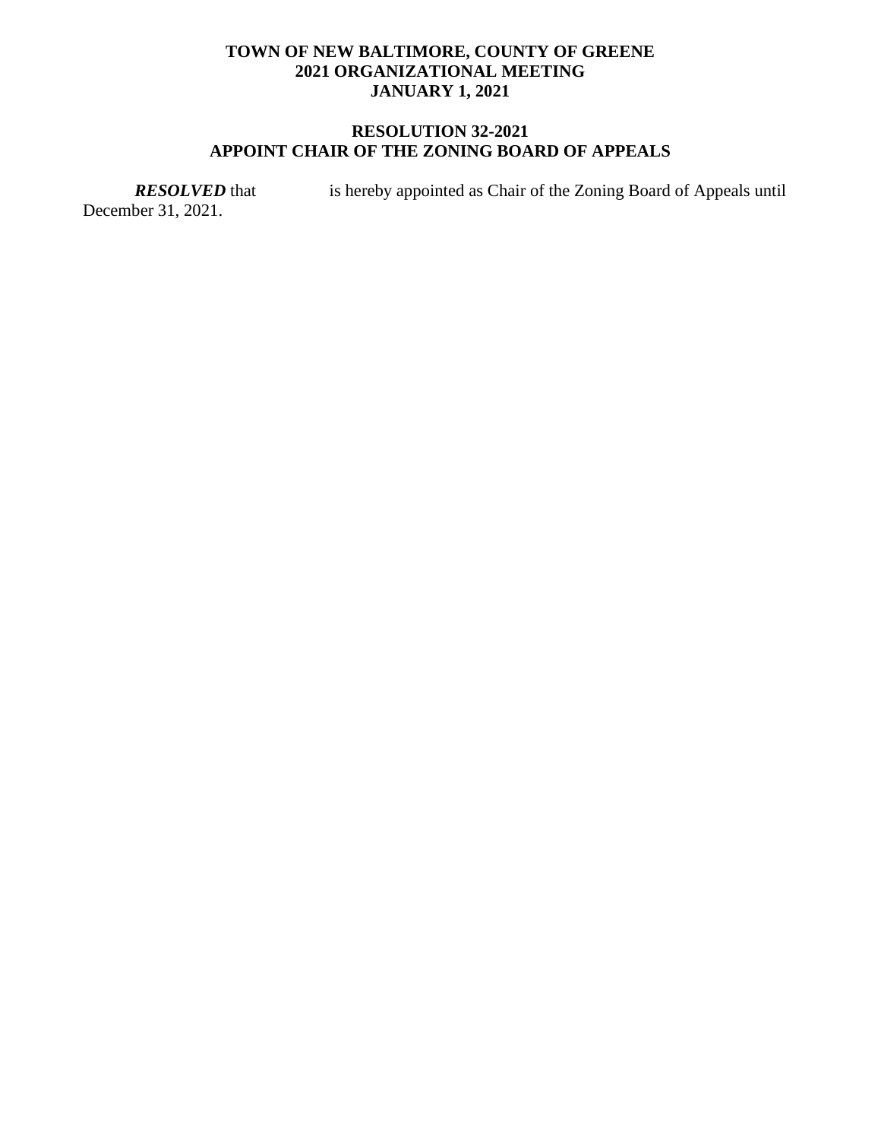# **RESOLUTION 32-2021 APPOINT CHAIR OF THE ZONING BOARD OF APPEALS**

December 31, 2021.

*RESOLVED* that is hereby appointed as Chair of the Zoning Board of Appeals until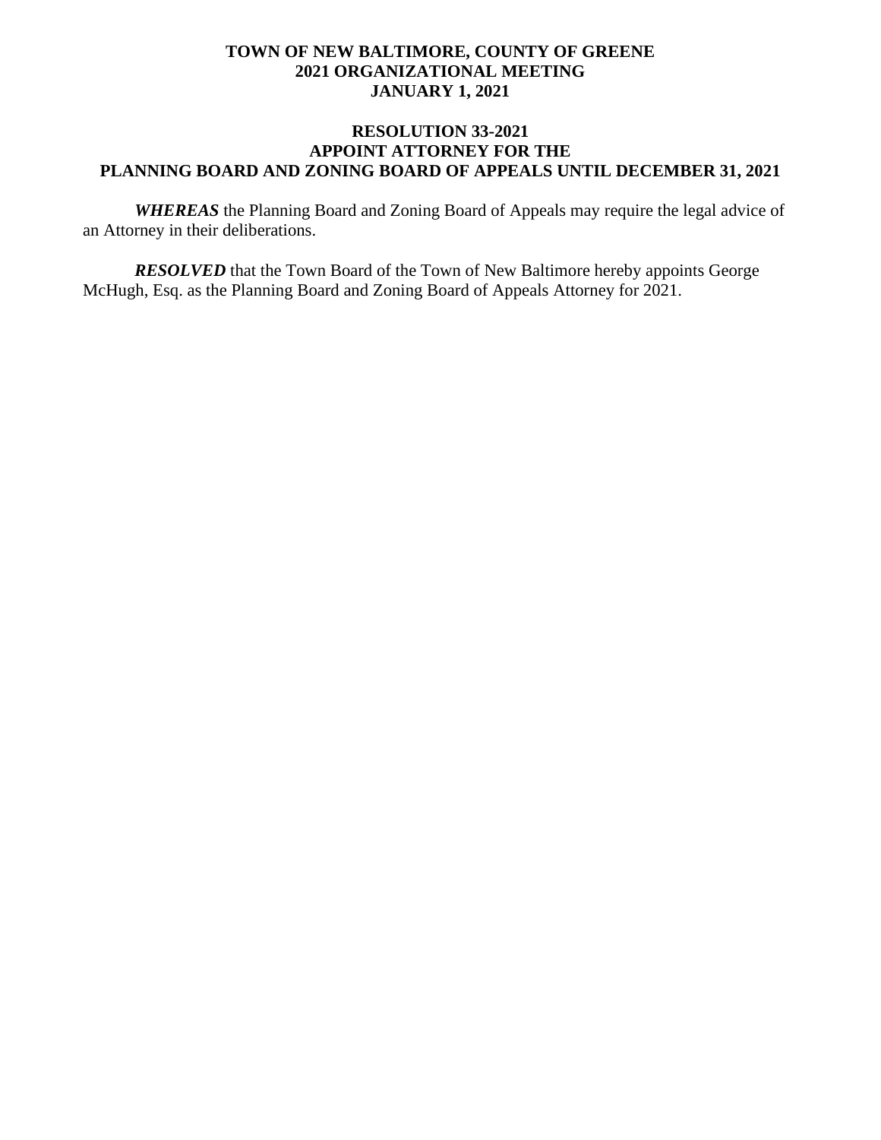### **RESOLUTION 33-2021 APPOINT ATTORNEY FOR THE PLANNING BOARD AND ZONING BOARD OF APPEALS UNTIL DECEMBER 31, 2021**

*WHEREAS* the Planning Board and Zoning Board of Appeals may require the legal advice of an Attorney in their deliberations.

*RESOLVED* that the Town Board of the Town of New Baltimore hereby appoints George McHugh, Esq. as the Planning Board and Zoning Board of Appeals Attorney for 2021.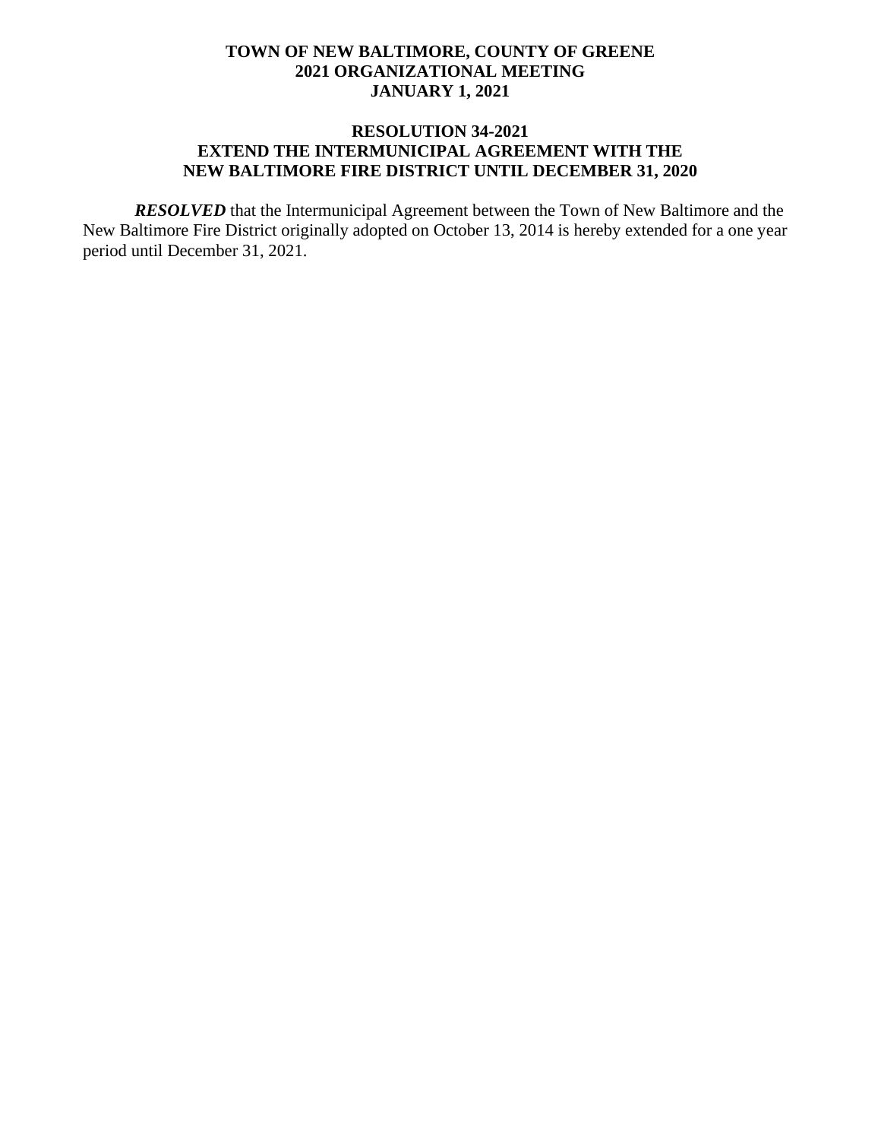### **RESOLUTION 34-2021 EXTEND THE INTERMUNICIPAL AGREEMENT WITH THE NEW BALTIMORE FIRE DISTRICT UNTIL DECEMBER 31, 2020**

*RESOLVED* that the Intermunicipal Agreement between the Town of New Baltimore and the New Baltimore Fire District originally adopted on October 13, 2014 is hereby extended for a one year period until December 31, 2021.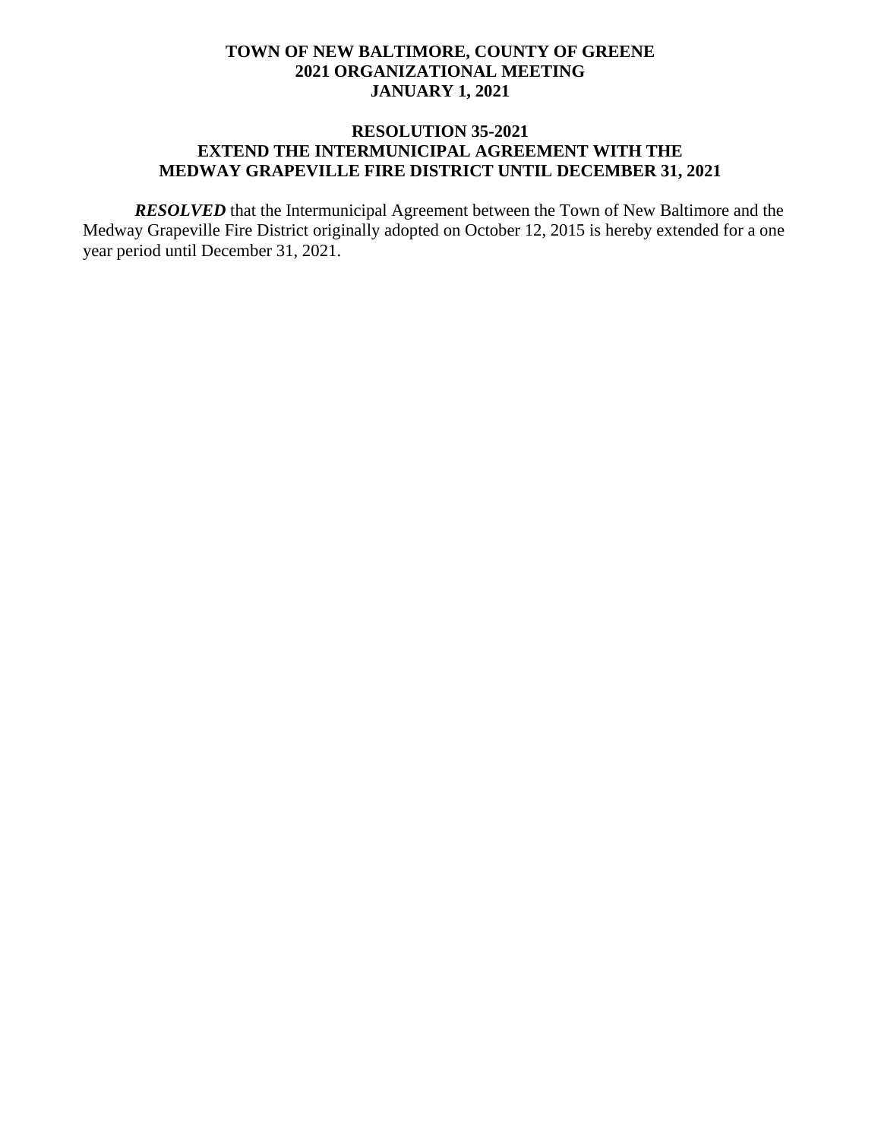### **RESOLUTION 35-2021 EXTEND THE INTERMUNICIPAL AGREEMENT WITH THE MEDWAY GRAPEVILLE FIRE DISTRICT UNTIL DECEMBER 31, 2021**

*RESOLVED* that the Intermunicipal Agreement between the Town of New Baltimore and the Medway Grapeville Fire District originally adopted on October 12, 2015 is hereby extended for a one year period until December 31, 2021.